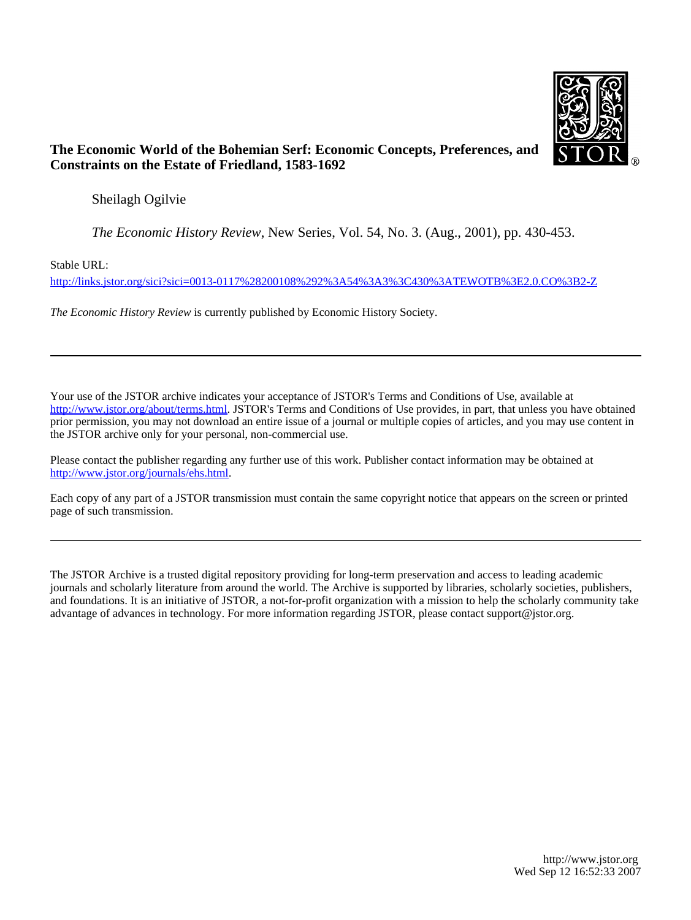

## **The Economic World of the Bohemian Serf: Economic Concepts, Preferences, and Constraints on the Estate of Friedland, 1583-1692**

Sheilagh Ogilvie

*The Economic History Review*, New Series, Vol. 54, No. 3. (Aug., 2001), pp. 430-453.

Stable URL:

<http://links.jstor.org/sici?sici=0013-0117%28200108%292%3A54%3A3%3C430%3ATEWOTB%3E2.0.CO%3B2-Z>

*The Economic History Review* is currently published by Economic History Society.

Your use of the JSTOR archive indicates your acceptance of JSTOR's Terms and Conditions of Use, available at [http://www.jstor.org/about/terms.html.](http://www.jstor.org/about/terms.html) JSTOR's Terms and Conditions of Use provides, in part, that unless you have obtained prior permission, you may not download an entire issue of a journal or multiple copies of articles, and you may use content in the JSTOR archive only for your personal, non-commercial use.

Please contact the publisher regarding any further use of this work. Publisher contact information may be obtained at [http://www.jstor.org/journals/ehs.html.](http://www.jstor.org/journals/ehs.html)

Each copy of any part of a JSTOR transmission must contain the same copyright notice that appears on the screen or printed page of such transmission.

The JSTOR Archive is a trusted digital repository providing for long-term preservation and access to leading academic journals and scholarly literature from around the world. The Archive is supported by libraries, scholarly societies, publishers, and foundations. It is an initiative of JSTOR, a not-for-profit organization with a mission to help the scholarly community take advantage of advances in technology. For more information regarding JSTOR, please contact support@jstor.org.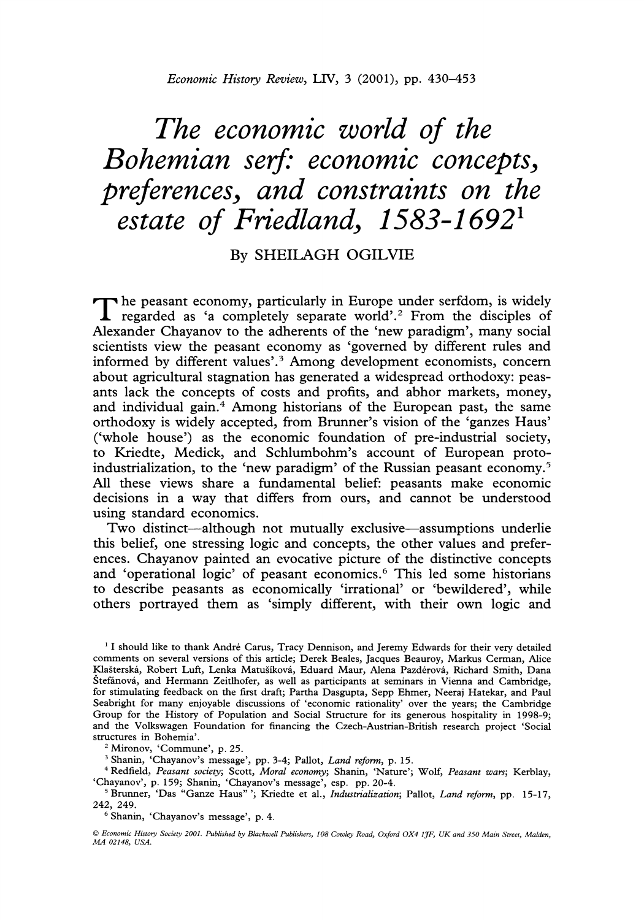Economic History Review, LIV, 3 (2001), pp. 430-453

# *The economic world of the* Bohemian serf: economic concepts, *preferences, and constraints on the estate of Friedland, 1583-1692'*

## By SHEILAGH OGILVIE

The peasant economy, particularly in Europe under serfdom, is widely regarded as 'a completely separate world'.<sup>2</sup> From the disciples of Alexander Chayanov to the adherents of the 'new paradigm', many social scientists view the peasant economy as 'governed by different rules and informed by different values'.<sup>3</sup> Among development economists, concern about agricultural stagnation has generated a widespread orthodoxy: peasants lack the concepts of costs and profits, and abhor markets, money, and individual gain.4 Among historians of the European past, the same orthodoxy is widely accepted, from Brunner's vision of the 'ganzes Haus' ('whole house') as the economic foundation of pre-industrial society, to Kriedte, Medick, and Schlumbohm's account of European protoindustrialization, to the 'new paradigm' of the Russian peasant economy.<sup>5</sup> All these views share a fundamental belief: peasants make economic decisions in a way that differs from ours, and cannot be understood using standard economics.

Two distinct-although not mutually exclusive-assumptions underlie this belief, one stressing logic and concepts, the other values and preferences. Chayanov painted an evocative picture of the distinctive concepts and 'operational logic' of peasant economics.<sup>6</sup> This led some historians to describe peasants as economically 'irrational' or 'bewildered', while others portrayed them as 'simply different, with their own logic and

<sup>2</sup> Mironov, 'Commune', p. 25.

<sup>3</sup> Shanin, 'Chayanov's message', pp. 3-4; Pallot, Land reform, p. 15.

<sup>4</sup> Redfield, Peasant society; Scott, Moral economy; Shanin, 'Nature'; Wolf, Peasant wars; Kerblay, 'Chayanov', p. 159; Shanin, 'Chayanov's message', esp. pp. 20-4.

<sup>5</sup> Brunner, 'Das "Ganze Haus" '; Kriedte et al., Industrialization; Pallot, Land reform, pp. 15-17, 242, 249.

Shanin, 'Chayanov's message', p. 4.

<sup>&</sup>lt;sup>1</sup> I should like to thank André Carus, Tracy Dennison, and Jeremy Edwards for their very detailed comments on several versions of this article; Derek Beales, Jacques Beauroy, Markus Cerman, Alice Klašterská, Robert Luft, Lenka Matušíková, Eduard Maur, Alena Pazdérová, Richard Smith, Dana Stefanova, and Hermann Zeitlhofer, as well as participants at seminars in Vienna and Cambridge, for stimulating feedback on the first draft; Partha Dasgupta, Sepp Ehmer, Neeraj Hatekar, and Paul Seabright for many enjoyable discussions of 'economic rationality' over the years; the Cambridge Group for the History of Population and Social Structure for its generous hospitality in 1998-9; and the Volkswagen Foundation for financing the Czech-Austrian-British research project 'Social structures in Bohemia'.

 $\circ$  Economic History Society 2001. Published by Blackwell Publishers, 108 Cowley Road, Oxford OX4 1JF, UK and 350 Main Street, Malden, *MA 021 48, USA.*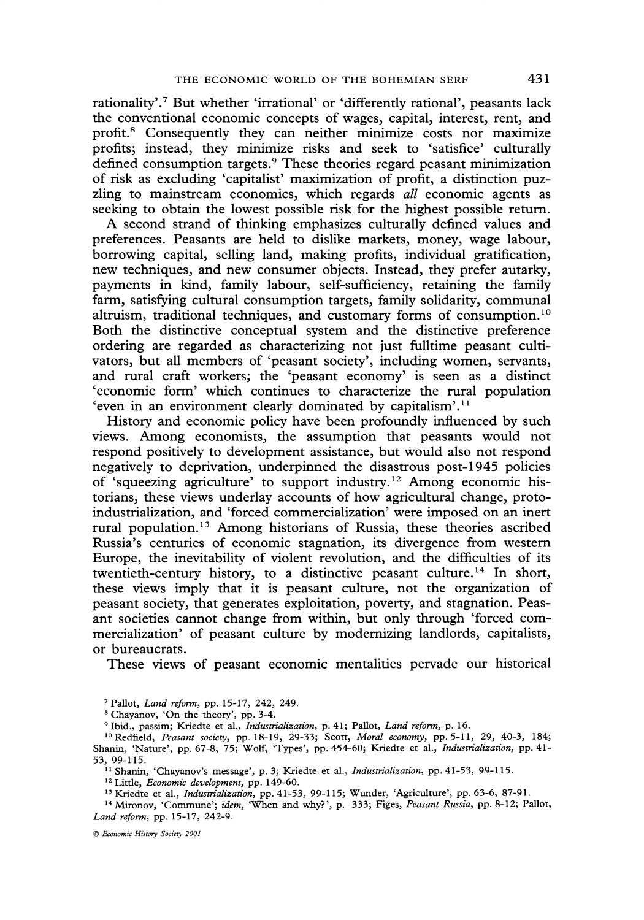rationality'.<sup>7</sup> But whether 'irrational' or 'differently rational', peasants lack the conventional economic concepts of wages, capital, interest, rent, and profit.' Consequently they can neither minimize costs nor maximize profits; instead, they minimize risks and seek to 'satisfice' culturally defined consumption targets.<sup>9</sup> These theories regard peasant minimization of risk as excluding 'capitalist' maximization of profit, a distinction puzzling to mainstream economics, which regards *all* economic agents as seeking to obtain the lowest possible risk for the highest possible return.

**A** second strand of thinking emphasizes culturally defined values and preferences. Peasants are held to dislike markets, money, wage labour, borrowing capital, selling land, making profits, individual gratification, new techniques, and new consumer objects. Instead, they prefer autarky, payments in kind, family labour, self-sufficiency, retaining the family farm, satisfying cultural consumption targets, family solidarity, communal altruism, traditional techniques, and customary forms of consumption.1° Both the distinctive conceptual system and the distinctive preference ordering are regarded as characterizing not just fulltime peasant cultivators, but all members of 'peasant society', including women, servants, and rural craft workers; the 'peasant economy' is seen as a distinct 'economic form' which continues to characterize the rural population 'even in an environment clearly dominated by capitalism'. $^{11}$ 

History and economic policy have been profoundly influenced by such views. Among economists, the assumption that peasants would not respond positively to development assistance, but would also not respond negatively to deprivation, underpinned the disastrous post-1945 policies of 'squeezing agriculture' to support industry.<sup>12</sup> Among economic historians, these views underlay accounts of how agricultural change, protoindustrialization, and 'forced commercialization' were imposed on an inert rural population.<sup>13</sup> Among historians of Russia, these theories ascribed Russia's centuries of economic stagnation, its divergence from western Europe, the inevitability of violent revolution, and the difficulties of its twentieth-century history, to a distinctive peasant culture.<sup>14</sup> In short, these views imply that it is peasant culture, not the organization of peasant society, that generates exploitation, poverty, and stagnation. Peasant societies cannot change from within, but only through 'forced commercialization' of peasant culture by modernizing landlords, capitalists, or bureaucrats.

These views of peasant economic mentalities pervade our historical

<sup>&#</sup>x27; Pallot, *Land reform,* **pp.** 15-17, 242, 249.

Chayanov, 'On the theory', **pp.** 3-4.

Ibid., passim; Kriedte et al., *Indusm'alization,* **p.** 41; Pallot, *Land reform,* **p.** 16.

lo Redfield, *Peasant society,* **pp.** 18-19, 29-33; Scott, *Moral economy,* **pp.** 5-11, 29, 40-3, 184; Shanin, 'Nature', **pp.** 67-8, 75; Wolf, 'Types', **pp.** 454-60; Kriedte et al., *Indusm'alization,* **pp.** 41- 53, 99-115.

**l1** Shanin, 'Chayanov's message', **p.** 3; Kriedte et al., *Industrialization,* **pp.** 41-53, 99-115.

**l2** Little, *Economic development,* **pp.** 149-60.

**l3** Kriedte et al., *Industrialization,* **pp.** 41-53, 99-1 15; Wunder, 'Agriculture', **pp.** 63-6, 87-91.

**l4** Mironov, 'Commune'; *idem,* 'When and why?', **p.** 333; Figes, *Peasant Russia,* **pp.** 8-12; Pallot, *Land reform,* **pp.** 15-17, 242-9.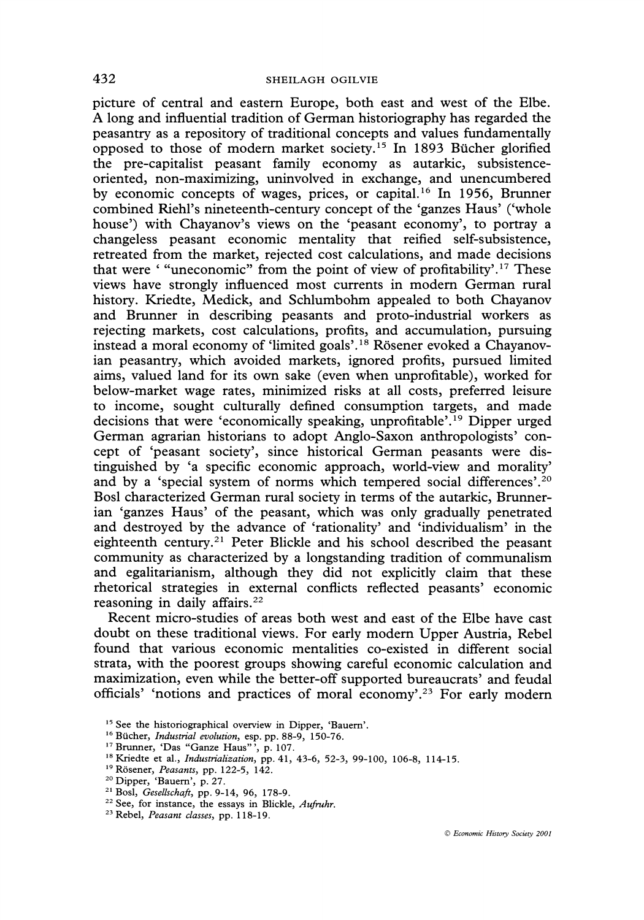picture of central and eastern Europe, both east and west of the Elbe. **A** long and influential tradition of German historiography has regarded the peasantry as a repository of traditional concepts and values fundamentally opposed to those of modern market society.<sup>15</sup> In 1893 Bücher glorified the pre-capitalist peasant family economy as autarkic, subsistenceoriented, non-maximizing, uninvolved in exchange, and unencumbered by economic concepts of wages, prices, or capital.<sup>16</sup> In 1956, Brunner combined Riehl's nineteenth-century concept of the 'ganzes Haus' ('whole house') with Chayanov's views on the 'peasant economy', to portray a changeless peasant economic mentality that reified self-subsistence, retreated from the market, rejected cost calculations, and made decisions that were ' "uneconomic" from the point of view of profitability'.<sup>17</sup> These views have strongly influenced most currents in modern German rural history. Kriedte, Medick, and Schlumbohm appealed to both Chayanov and Brunner in describing peasants and proto-industrial workers as rejecting markets, cost calculations, profits, and accumulation, pursuing instead a moral economy of 'limited goals'.<sup>18</sup> Rösener evoked a Chayanovian peasantry, which avoided markets, ignored profits, pursued limited aims, valued land for its own sake (even when unprofitable), worked for below-market wage rates, minimized risks at all costs, preferred leisure to income, sought culturally defined consumption targets, and made decisions that were 'economically speaking, unprofitable'.<sup>19</sup> Dipper urged German agrarian historians to adopt Anglo-Saxon anthropologists' concept of 'peasant society', since historical German peasants were distinguished by 'a specific economic approach, world-view and morality' and by a 'special system of norms which tempered social differences'.<sup>20</sup> Bosl characterized German rural society in terms of the autarkic, Brunnerian 'ganzes Haus' of the peasant, which was only gradually penetrated and destroyed by the advance of 'rationality' and 'individualism' in the eighteenth century.21 Peter Blickle and his school described the peasant community as characterized by a longstanding tradition of communalism and egalitarianism, although they did not explicitly claim that these rhetorical strategies in external conflicts reflected peasants' economic reasoning in daily affairs. $22$ 

Recent micro-studies of areas both west and east of the Elbe have cast doubt on these traditional views. For early modern Upper Austria, Rebel found that various economic mentalities co-existed in different social strata, with the poorest groups showing careful economic calculation and maximization, even while the better-off supported bureaucrats' and feudal officials' 'notions and practices of moral economy'.23 For early modern

<sup>&</sup>lt;sup>15</sup> See the historiographical overview in Dipper, 'Bauern'.

l6 Biicher, *Industrial evolution,* esp. pp. 88-9, 150-76.

**l7** Brunner, 'Das "Ganze Haus"', p. 107.

**l8** Kriedte et al., *Industrialization,* pp. 41, 43-6, 52-3, 99-100, 106-8, 114-15.

<sup>&</sup>lt;sup>19</sup> Rösener, *Peasants*, pp. 122-5, 142.

<sup>&</sup>lt;sup>20</sup> Dipper, 'Bauern', p. 27.

Bosl, *Gesellschafr,* pp. 9-14, 96, 178-9.

<sup>22</sup> See, for instance, the essays in Blickle, *Aufnrhr.* 

<sup>&</sup>lt;sup>23</sup> Rebel, *Peasant classes*, pp. 118-19.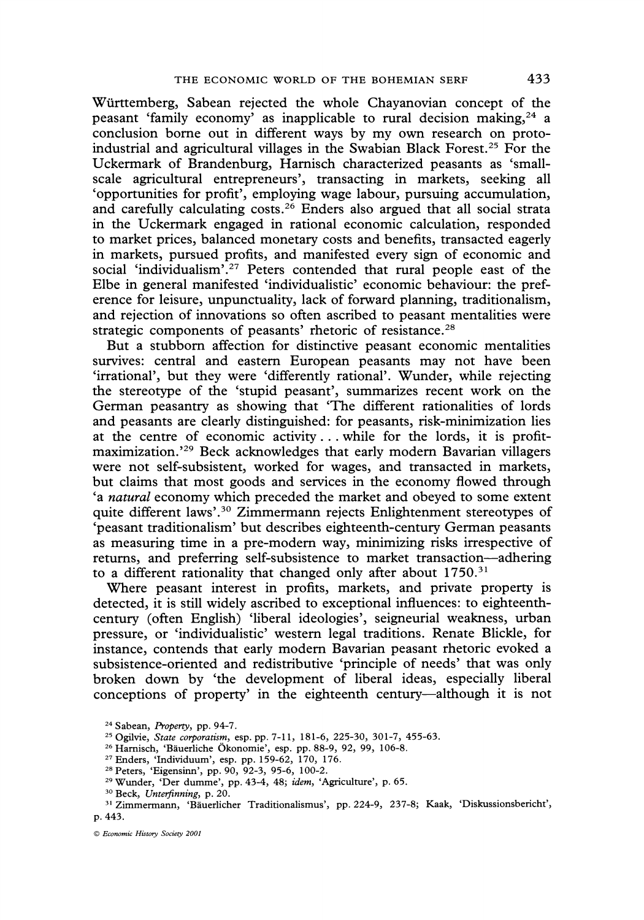Wiirttemberg, Sabean rejected the whole Chayanovian concept of the peasant 'family economy' as inapplicable to rural decision making,  $24$  a conclusion borne out in different ways by my own research on protoindustrial and agricultural villages in the Swabian Black Forest.<sup>25</sup> For the Uckermark of Brandenburg, Harnisch characterized peasants as 'smallscale agricultural entrepreneurs', transacting in markets, seeking all 'opportunities for profit', employing wage labour, pursuing accumulation, and carefully calculating costs.<sup>26</sup> Enders also argued that all social strata in the Uckermark engaged in rational economic calculation, responded to market prices, balanced monetary costs and benefits, transacted eagerly in markets, pursued profits, and manifested every sign of economic and social 'individualism'.<sup>27</sup> Peters contended that rural people east of the Elbe in general manifested 'individualistic' economic behaviour: the preference for leisure, unpunctuality, lack of forward planning, traditionalism, and rejection of innovations so often ascribed to peasant mentalities were strategic components of peasants' rhetoric of resistance.<sup>28</sup>

But a stubborn affection for distinctive peasant economic mentalities survives: central and eastern European peasants may not have been 'irrational', but they were 'differently rational'. Wunder, while rejecting the stereotype of the 'stupid peasant', summarizes recent work on the German peasantry as showing that 'The different rationalities of lords and peasants are clearly distinguished: for peasants, risk-minimization lies at the centre of economic activity. . . while for the lords, it is profit $maximization.^{29}$  Beck acknowledges that early modern Bavarian villagers were not self-subsistent, worked for wages, and transacted in markets, but claims that most goods and services in the economy flowed through 'a natural economy which preceded the market and obeyed to some extent quite different laws'.30 Zimmermann rejects Enlightenment stereotypes of 'peasant traditionalism' but describes eighteenth-century German peasants as measuring time in a pre-modern way, minimizing risks irrespective of returns, and preferring self-subsistence to market transaction-adhering to a different rationality that changed only after about  $1750$ .<sup>31</sup>

Where peasant interest in profits, markets, and private property is detected, it is still widely ascribed to exceptional influences: to eighteenthcentury (often English) 'liberal ideologies', seigneurial weakness, urban pressure, or 'individualistic' western legal traditions. Renate Blickle, for instance, contends that early modern Bavarian peasant rhetoric evoked a subsistence-oriented and redistributive 'principle of needs' that was only broken down by 'the development of liberal ideas, especially liberal conceptions of property' in the eighteenth century-although it is not

**<sup>24</sup>**Sabean, *Property,* pp. 94-7.

**<sup>25</sup>**Ogilvie, *State covoratism,* esp. pp. 7-11, 181-6, 225-30, 301-7, 455-63.

<sup>&</sup>lt;sup>26</sup> Harnisch, 'Bäuerliche Ökonomie', esp. pp. 88-9, 92, 99, 106-8.

**<sup>27</sup>**Enders, 'Individuum', esp. pp. 159-62, 170, 176.

<sup>&</sup>lt;sup>28</sup> Peters, 'Eigensinn', pp. 90, 92-3, 95-6, 100-2.

<sup>&</sup>lt;sup>29</sup> Wunder, 'Der dumme', pp. 43-4, 48; *idem*, 'Agriculture', p. 65.

<sup>30</sup>Beck, *Unterfinning,* p. 20.

**<sup>31</sup>**Zimmermann, 'Bauerlicher Traditionalismus', pp. 224-9, 237-8; Kaak, 'Diskussionsbericht', p. 443.

 $©$  *Economic History Society 2001*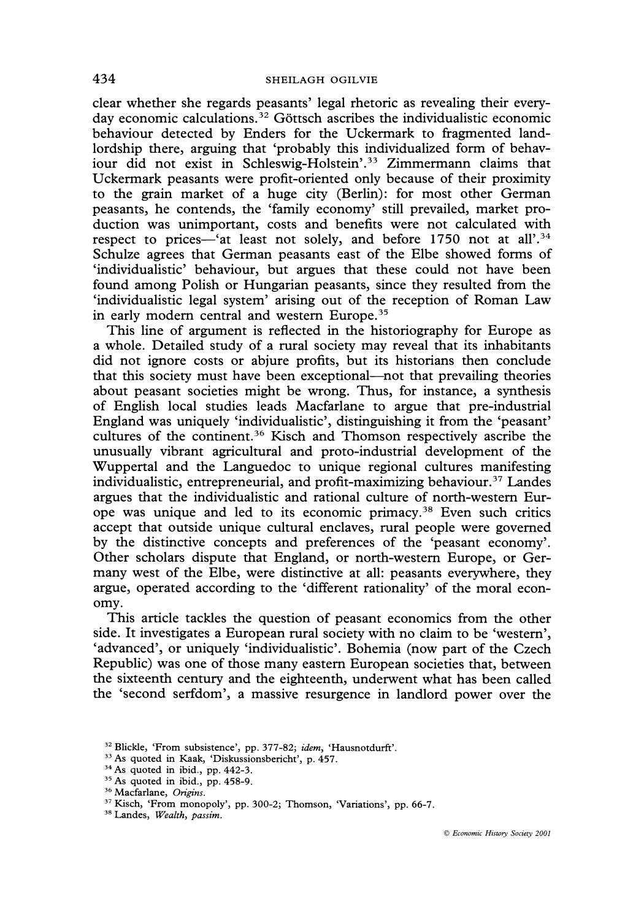clear whether she regards peasants' legal rhetoric as revealing their everyday economic calculations.<sup>32</sup> Göttsch ascribes the individualistic economic behaviour detected by Enders for the Uckermark to fragmented landlordship there, arguing that 'probably this individualized form of behaviour did not exist in Schleswig-Holstein'.<sup>33</sup> Zimmermann claims that Uckermark peasants were profit-oriented only because of their proximity to the grain market of a huge city (Berlin): for most other German peasants, he contends, the 'family economy' still prevailed, market production was unimportant, costs and benefits were not calculated with respect to prices—'at least not solely, and before  $1750$  not at all'.<sup>34</sup> Schulze agrees that German peasants east of the Elbe showed forms of 'individualistic' behaviour, but argues that these could not have been found among Polish or Hungarian peasants, since they resulted from the 'individualistic legal system' arising out of the reception of Roman Law in early modern central and western Europe.<sup>35</sup>

This line of argument is reflected in the historiography for Europe as a whole. Detailed study of a rural society may reveal that its inhabitants did not ignore costs or abjure profits, but its historians then conclude that this society must have been exceptional-not that prevailing theories about peasant societies might be wrong. Thus, for instance, a synthesis of English local studies leads Macfarlane to argue that pre-industrial England was uniquely 'individualistic', distinguishing it from the 'peasant' cultures of the continent.36 Kisch and Thomson respectively ascribe the unusually vibrant agricultural and proto-industrial development of the Wuppertal and the Languedoc to unique regional cultures manifesting individualistic, entrepreneurial, and profit-maximizing behaviour.<sup>37</sup> Landes argues that the individualistic and rational culture of north-western Europe was unique and led to its economic primacy.38 Even such critics accept that outside unique cultural enclaves, rural people were governed by the distinctive concepts and preferences of the 'peasant economy'. Other scholars dispute that England, or north-western Europe, or Germany west of the Elbe, were distinctive at all: peasants everywhere, they argue, operated according to the 'different rationality' of the moral economy.

This article tackles the question of peasant economics from the other side. It investigates a European rural society with no claim to be 'western', 'advanced', or uniquely 'individualistic'. Bohemia (now part of the Czech Republic) was one of those many eastern European societies that, between the sixteenth century and the eighteenth, underwent what has been called the 'second serfdom', a massive resurgence in landlord power over the

*<sup>32</sup>* Blickle, 'From subsistence', pp. 377-82; *idem,* 'Hausnotdurft'.

*<sup>33</sup>* AS quoted in Kaak, 'Diskussionsbericht', p. 457.

**<sup>34</sup>** AS quoted in ibid., pp. 442-3.

**<sup>33</sup>** AS quoted in ibid., pp. 458-9.

*<sup>36</sup>* Macfarlane, *Origins.* 

*<sup>37</sup>* Kisch, 'From monopoly', pp. 300-2; Thomson, 'Variations', pp. *66-7.* 

**<sup>38</sup>** Landes, *Wealth, passim.*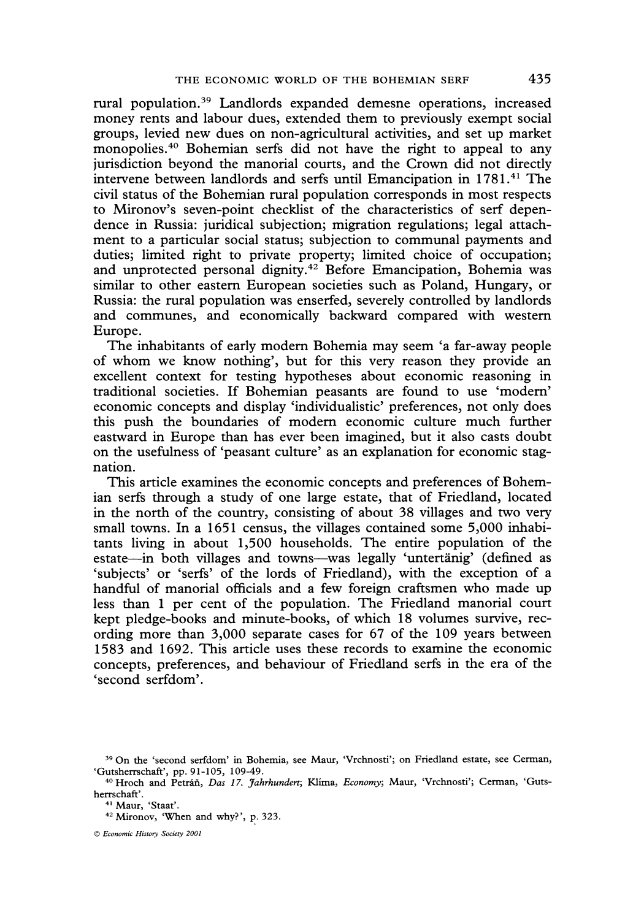rural population.<sup>39</sup> Landlords expanded demesne operations, increased money rents and labour dues, extended them to previously exempt social groups, levied new dues on non-agricultural activities, and set up market monopolies.<sup>40</sup> Bohemian serfs did not have the right to appeal to any jurisdiction beyond the manorial courts, and the Crown did not directly intervene between landlords and serfs until Emancipation in 1781 **.41**The civil status of the Bohemian rural population corresponds in most respects to Mironov's seven-point checklist of the characteristics of serf dependence in Russia: juridical subjection; migration regulations; legal attachment to a particular social status; subjection to communal payments and duties; limited right to private property; limited choice of occupation; and unprotected personal dignity.<sup>42</sup> Before Emancipation, Bohemia was similar to other eastern European societies such as Poland, Hungary, or Russia: the rural population was enserfed, severely controlled by landlords and communes, and economically backward compared with western Europe.

The inhabitants of early modem Bohemia may seem 'a far-away people of whom we know nothing', but for this very reason they provide an excellent context for testing hypotheses about economic reasoning in traditional societies. If Bohemian peasants are found to use 'modern' economic concepts and display 'individualistic' preferences, not only does this push the boundaries of modern economic culture much further eastward in Europe than has ever been imagined, but it also casts doubt on the usefulness of 'peasant culture' as an explanation for economic stagnation.

This article examines the economic concepts and preferences of Bohemian serfs through a study of one large estate, that of Friedland, located in the north of the country, consisting of about 38 villages and two very small towns. In a 1651 census, the villages contained some 5,000 inhabitants living in about 1,500 households. The entire population of the estate-in both villages and towns--was legally 'untertänig' (defined as 'subjects' or 'serfs' of the lords of Friedland), with the exception of a handful of manorial officials and a few foreign craftsmen who made up less than 1 per cent of the population. The Friedland manorial court kept pledge-books and minute-books, of which 18 volumes survive, recording more than 3,000 separate cases for 67 of the 109 years between 1583 and 1692. This article uses these records to examine the economic concepts, preferences, and behaviour of Friedland serfs in the era of the 'second serfdom'.

*<sup>39</sup>*On the 'second serfdom' in Bohemia, see Maur, 'Vrchnosti'; on Friedland estate, see Cerman, 'Gutsherrschaft', pp. 91-105, 109-49.

<sup>&</sup>lt;sup>40</sup> Hroch and Petráň, Das 17. Jahrhundert; Klima, Economy; Maur, 'Vrchnosti'; Cerman, 'Gutsherrschaft'.

<sup>&</sup>lt;sup>41</sup> Maur, 'Staat'.

**<sup>42</sup>**Mironov, 'When and why?', p. 323.

 $©$  *Economic History Society 2001*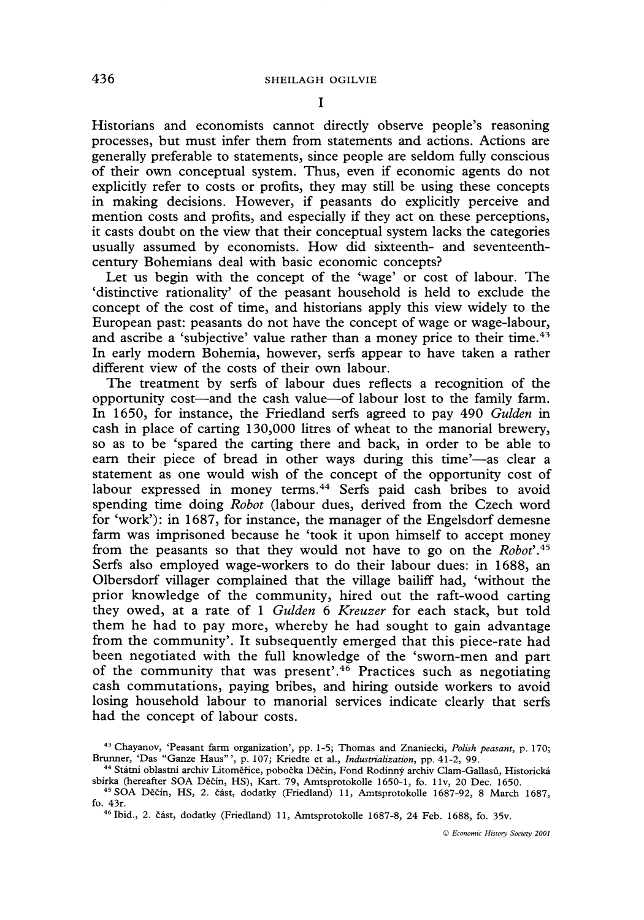Historians and economists cannot directly observe people's reasoning processes, but must infer them from statements and actions. Actions are generally preferable to statements, since people are seldom fully conscious of their own conceptual system. Thus, even if economic agents do not explicitly refer to costs or profits, they may still be using these concepts in making decisions. However, if peasants do explicitly perceive and mention costs and profits, and especially if they act on these perceptions, it casts doubt on the view that their conceptual system lacks the categories usually assumed by economists. How did sixteenth- and seventeenthcentury Bohemians deal with basic economic concepts?

Let us begin with the concept of the 'wage' or cost of labour. The 'distinctive rationality' of the peasant household is held to exclude the concept of the cost of time, and historians apply this view widely to the European past: peasants do not have the concept of wage or wage-labour, and ascribe a 'subjective' value rather than a money price to their time.<sup>43</sup> In early modern Bohemia, however, serfs appear to have taken a rather different view of the costs of their own labour.

The treatment by serfs of labour dues reflects a recognition of the opportunity cost-and the cash value-of labour lost to the family farm. In 1650, for instance, the Friedland serfs agreed to pay 490 *Gulden* in cash in place of carting 130,000 litres of wheat to the manorial brewery, so as to be 'spared the carting there and back, in order to be able to earn their piece of bread in other ways during this time'—as clear a statement as one would wish of the concept of the opportunity cost of labour expressed in money terms.<sup>44</sup> Serfs paid cash bribes to avoid spending time doing Robot (labour dues, derived from the Czech word for 'work'): in 1687, for instance, the manager of the Engelsdorf demesne farm was imprisoned because he 'took it upon himself to accept money from the peasants so that they would not have to go on the  $Robot^{1.45}$ . Serfs also employed wage-workers to do their labour dues: in 1688, an Olbersdorf villager complained that the village bailiff had, 'without the prior knowledge of the community, hired out the raft-wood carting they owed, at a rate of 1 *Gulden* 6 *Kreuzer* for each stack, but told them he had to pay more, whereby he had sought to gain advantage from the community'. It subsequently emerged that this piece-rate had been negotiated with the full knowledge of the 'sworn-men and part of the community that was present'.<sup>46</sup> Practices such as negotiating cash commutations, paying bribes, and hiring outside workers to avoid losing household labour to manorial services indicate clearly that serfs had the concept of labour costs.

**<sup>43</sup>**Chayanov, 'Peasant farm organization', pp. 1-5; Thomas and Znaniecki, *Polish peasant,* p. 170; Brunner, 'Das "Ganze Haus"', p. 107; Kriedte et al., *Industrialization*, pp. 41-2, 99.

<sup>&</sup>lt;sup>44</sup> Státní oblastní archiv Litoměřice, pobočka Děčín, Fond Rodinný archiv Clam-Gallasů, Historická sbírka (hereafter SOA Děčín, HS), Kart. 79, Amtsprotokolle 1650-1, fo. 11v, 20 Dec. 1650.

**<sup>45</sup>**SOA DECin, HS, 2. East, dodatky (Friedland) 11, Amtsprotokolle 1687-92, 8 March 1687, fo. 43r.

**<sup>46</sup>** Ibid., 2. Cast, dodatky (Friedland) 11, Amtsprotokolle 1687-8, 24 Feb. 1688, fo. 35v.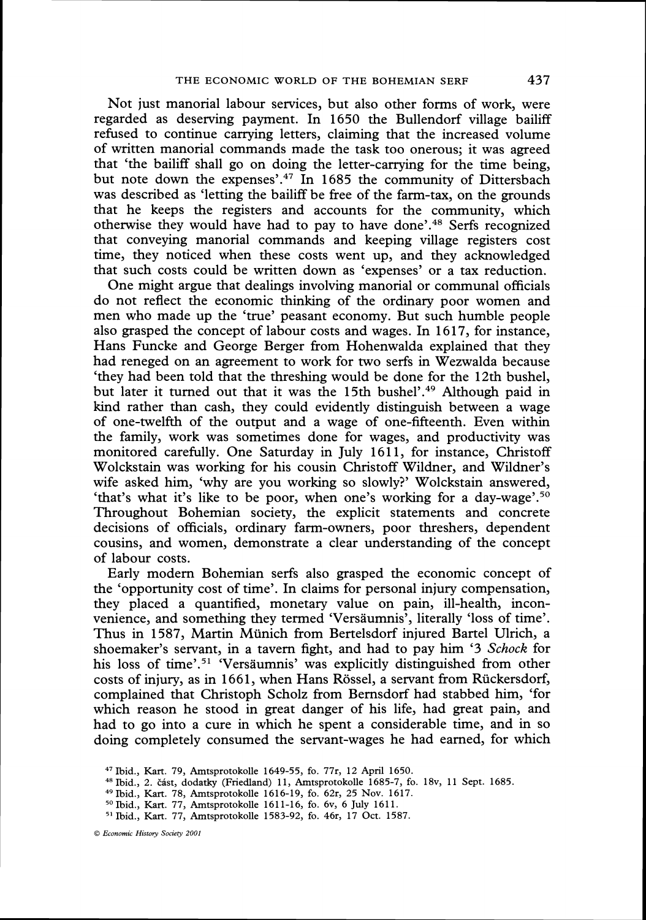Not just manorial labour services, but also other forms of work, were regarded as deserving payment. In 1650 the Bullendorf village bailiff refused to continue carrying letters, claiming that the increased volume of written manorial commands made the task too onerous; it was agreed that 'the bailiff shall go on doing the letter-carrying for the time being, but note down the expenses'.<sup>47</sup> In 1685 the community of Dittersbach was described as 'letting the bailiff be free of the farm-tax, on the grounds that he keeps the registers and accounts for the community, which otherwise they would have had to pay to have done'.48 Serfs recognized that conveying manorial commands and keeping village registers cost time, they noticed when these costs went up, and they acknowledged that such costs could be written down as 'expenses' or a tax reduction.

One might argue that dealings involving manorial or communal officials do not reflect the economic thinking of the ordinary poor women and men who made up the 'true' peasant economy. But such humble people also grasped the concept of labour costs and wages. In 1617, for instance, Hans Funcke and George Berger from Hohenwalda explained that they had reneged on an agreement to work for two serfs in Wezwalda because 'they had been told that the threshing would be done for the 12th bushel, but later it turned out that it was the 15th bushel'.<sup>49</sup> Although paid in kind rather than cash, they could evidently distinguish between a wage of one-twelfth of the output and a wage of one-fifteenth. Even within the family, work was sometimes done for wages, and productivity was monitored carefully. One Saturday in July 1611, for instance, Christoff Wolckstain was working for his cousin Christoff Wildner, and Wildner's wife asked him, 'why are you working so slowly?' Wolckstain answered, 'that's what it's like to be poor, when one's working for a day-wage'.<sup>50</sup> Throughout Bohemian society, the explicit statements and concrete decisions of officials, ordinary farm-owners, poor threshers, dependent cousins, and women, demonstrate a clear understanding of the concept of labour costs.

Early modern Bohemian serfs also grasped the economic concept of the 'opportunity cost of time'. In claims for personal injury compensation, they placed a quantified, monetary value on pain, ill-health, inconvenience, and something they termed 'Versaumnis', literally 'loss of time'. Thus in 1587, Martin Miinich from Bertelsdorf injured Bartel Ulrich, a shoemaker's servant, in a tavern fight, and had to pay him '3 Schock for his loss of time'.<sup>51</sup> 'Versäumnis' was explicitly distinguished from other costs of injury, as in 1661, when Hans Rössel, a servant from Rückersdorf, complained that Christoph Scholz from Bernsdorf had stabbed him, 'for which reason he stood in great danger of his life, had great pain, and had to go into a cure in which he spent a considerable time, and in so doing completely consumed the servant-wages he had earned, for which

**<sup>49</sup>**Ibid., Kart. 78, Amtsprotokolle 1616-19, fo. 62r, 25 Nov. 1617.

 $O$  *Economic History Society 2001* 

**<sup>47</sup>**Ibid., Kart. 79, Amtsprotokolle 1649-55, fo. 77r, 12 April 1650.

**<sup>48</sup>**Ibid., 2. fast, dodatky (Friedland) 11, Amtsprotokolle 1685-7, fo. 18v, 11 Sept. 1685.

<sup>&</sup>lt;sup>50</sup> Ibid., Kart. 77, Amtsprotokolle 1611-16, fo. 6v, 6 July 1611.

<sup>&</sup>lt;sup>51</sup> Ibid., Kart. 77, Amtsprotokolle 1583-92, fo. 46r, 17 Oct. 1587.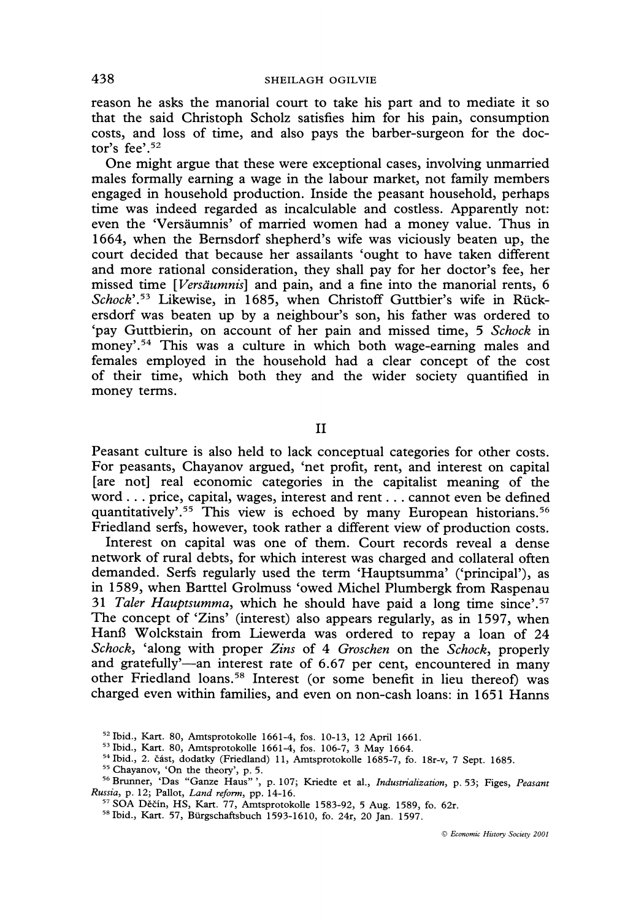reason he asks the manorial court to take his part and to mediate it so that the said Christoph Scholz satisfies him for his pain, consumption costs, and loss of time, and also pays the barber-surgeon for the doctor's fee'.<sup>52</sup>

One might argue that these were exceptional cases, involving unmarried males formally earning a wage in the labour market, not family members engaged in household production. Inside the peasant household, perhaps time was indeed regarded as incalculable and costless. Apparently not: even the 'Versaumnis' of married women had a money value. Thus in 1664, when the Bernsdorf shepherd's wife was viciously beaten up, the court decided that because her assailants 'ought to have taken different and more rational consideration, they shall pay for her doctor's fee, her missed time [Versäumnis] and pain, and a fine into the manorial rents, 6 Schock'.<sup>53</sup> Likewise, in 1685, when Christoff Guttbier's wife in Rückersdorf was beaten up by a neighbour's son, his father was ordered to 'pay Guttbierin, on account of her pain and missed time, 5 Schock in money'.<sup>54</sup> This was a culture in which both wage-earning males and females employed in the household had a clear concept of the cost of their time, which both they and the wider society quantified in money terms.

 $\mathbf{I}$ 

Peasant culture is also held to lack conceptual categories for other costs. For peasants, Chayanov argued, 'net profit, rent, and interest on capital [are not] real economic categories in the capitalist meaning of the word . . . price, capital, wages, interest and rent . . . cannot even be defined quantitatively'.<sup>55</sup> This view is echoed by many European historians.<sup>56</sup> Friedland serfs, however, took rather a different view of production costs.

Interest on capital was one of them. Court records reveal a dense network of rural debts, for which interest was charged and collateral often demanded. Serfs regularly used the term 'Hauptsumma' ('principal'), as in 1589, when Barttel Grolmuss 'owed Michel Plumbergk from Raspenau 31 Taler Hauptsumma, which he should have paid a long time since'.<sup>57</sup> The concept of 'Zins' (interest) also appears regularly, as in 1597, when Hanß Wolckstain from Liewerda was ordered to repay a loan of 24 Schock, 'along with proper Zins of 4 Groschen on the Schock, properly and gratefully'-an interest rate of 6.67 per cent, encountered in many other Friedland loans.58 Interest (or some benefit in lieu thereof) was charged even within families, and even on non-cash loans: in 1651 Hanns

<sup>&</sup>lt;sup>52</sup> Ibid., Kart. 80, Amtsprotokolle 1661-4, fos. 10-13, 12 April 1661.

<sup>&</sup>lt;sup>53</sup> Ibid., Kart. 80, Amtsprotokolle 1661-4, fos. 106-7, 3 May 1664.

<sup>&</sup>lt;sup>54</sup> Ibid., 2. část, dodatky (Friedland) 11, Amtsprotokolle 1685-7, fo. 18r-v, 7 Sept. 1685.

<sup>&</sup>lt;sup>55</sup> Chayanov, 'On the theory', p. 5.

<sup>&</sup>lt;sup>56</sup> Brunner, 'Das "Ganze Haus" ', p. 107; Kriedte et al., *Industrialization*, p. 53; Figes, *Peasant Russia,* p. 12; Pallot, *Land* reform, pp. 14-16.

<sup>&</sup>lt;sup>57</sup> SOA Děčín, HS, Kart. 77, Amtsprotokolle 1583-92, 5 Aug. 1589, fo. 62r.

<sup>58</sup> Ibid., Kart. 57, Bürgschaftsbuch 1593-1610, fo. 24r, 20 Jan. 1597.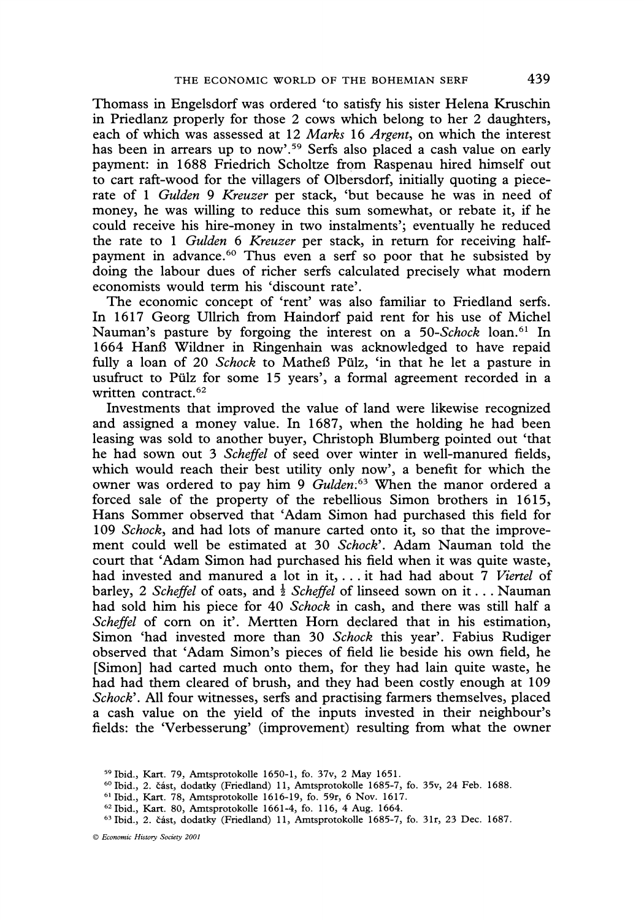Thomass in Engelsdorf was ordered 'to satisfy his sister Helena Kruschin in Priedlanz properly for those 2 cows which belong to her 2 daughters, each of which was assessed at 12 Marks 16 Argent, on which the interest has been in arrears up to now'.<sup>59</sup> Serfs also placed a cash value on early payment: in 1688 Friedrich Scholtze from Raspenau hired himself out to cart raft-wood for the villagers of Olbersdorf, initially quoting a piecerate of 1 Gulden 9 Kreuzer per stack, 'but because he was in need of money, he was willing to reduce this sum somewhat, or rebate it, if he could receive his hire-money in two instalments'; eventually he reduced the rate to 1 Gulden 6 Kreuzer per stack, in return for receiving halfpayment in advance.<sup>60</sup> Thus even a serf so poor that he subsisted by doing the labour dues of richer serfs calculated precisely what modern economists would term his 'discount rate'.

The economic concept of 'rent' was also familiar to Friedland serfs. In 1617 Georg Ullrich from Haindorf paid rent for his use of Michel Nauman's pasture by forgoing the interest on a 50-Schock loan.<sup>61</sup> In 1664 HanB Wildner in Ringenhain was acknowledged to have repaid fully a loan of 20 Schock to Matheß Pülz, 'in that he let a pasture in usufruct to Pulz for some 15 years', a formal agreement recorded in a written contract. $62$ 

Investments that improved the value of land were likewise recognized and assigned a money value. In 1687, when the holding he had been leasing was sold to another buyer, Christoph Blumberg pointed out 'that he had sown out 3 Scheffel of seed over winter in well-manured fields, which would reach their best utility only now', a benefit for which the owner was ordered to pay him 9 Gulden:<sup>63</sup> When the manor ordered a forced sale of the property of the rebellious Simon brothers in 1615, Hans Sommer observed that 'Adam Simon had purchased this field for 109 Schock, and had lots of manure carted onto it, so that the improvement could well be estimated at 30 Schock'. Adam Nauman told the court that 'Adam Simon had purchased his field when it was quite waste, had invested and manured a lot in it, ... it had had about 7 Viertel of barley, 2 Scheffel of oats, and  $\frac{1}{2}$  Scheffel of linseed sown on it ... Nauman had sold him his piece for 40 Schock in cash, and there was still half a Scheffel of corn on it'. Mertten Horn declared that in his estimation, Simon 'had invested more than 30 Schock this year'. Fabius Rudiger observed that 'Adam Simon's pieces of field lie beside his own field, he [Simon] had carted much onto them, for they had lain quite waste, he had had them cleared of brush, and they had been costly enough at 109 Schock'. All four witnesses, serfs and practising farmers themselves, placed a cash value on the yield of the inputs invested in their neighbour's fields: the 'Verbesserung' (improvement) resulting from what the owner

© Economic History Society 2001

**<sup>59</sup>** Ibid., Kart. 79, Amtsprotokolle 1650-1, fo. 37v, 2 May 1651.

*60* Ibid., 2. fast, dodatky (Friedland) 11, Amtsprotokolle 1685-7, fo. 35v, 24 Feb. 1688.

**<sup>61</sup>** Ibid., Kart. 78, Amtsprotokolle 1616-19, fo. 59r, 6 Nov. 1617.

*<sup>62</sup>* Ibid., Kart. 80, Amtsprotokolle 1661-4, fo. 116, 4 **Aug.** 1664.

*<sup>63</sup>* Ibid., 2. fast, dodatky (Friedland) 11, Amtsprotokolle 1685-7, fo. 31r, 23 Dec. 1687.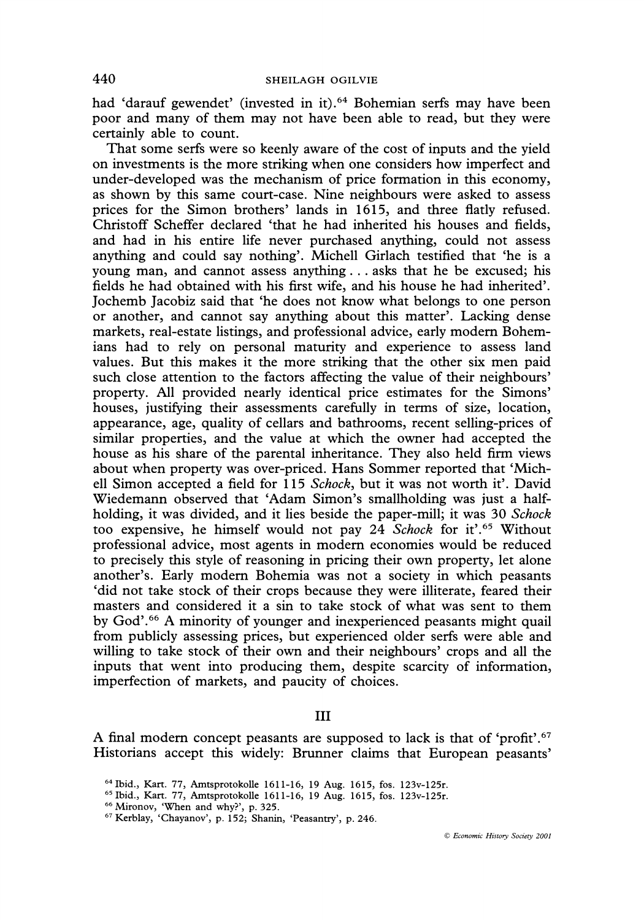had 'darauf gewendet' (invested in it).<sup>64</sup> Bohemian serfs may have been poor and many of them may not have been able to read, but they were certainly able to count.

That some serfs were so keenly aware of the cost of inputs and the yield on investments is the more striking when one considers how imperfect and under-developed was the mechanism of price formation in this economy, as shown by this same court-case. Nine neighbours were asked to assess prices for the Simon brothers' lands in 1615, and three flatly refused. Christoff Scheffer declared 'that he had inherited his houses and fields, and had in his entire life never purchased anything, could not assess anything and could say nothing'. Michell Girlach testified that 'he is a young man, and cannot assess anything. . . asks that he be excused; his fields he had obtained with his first wife, and his house he had inherited'. Jochemb Jacobiz said that 'he does not know what belongs to one person or another, and cannot say anything about this matter'. Lacking dense markets, real-estate listings, and professional advice, early modern Bohemians had to rely on personal maturity and experience to assess land values. But this makes it the more striking that the other six men paid such close attention to the factors affecting the value of their neighbours' property. All provided nearly identical price estimates for the Simons' houses, justifying their assessments carefully in terms of size, location, appearance, age, quality of cellars and bathrooms, recent selling-prices of similar properties, and the value at which the owner had accepted the house as his share of the parental inheritance. They also held firm views about when property was over-priced. Hans Sommer reported that 'Michell Simon accepted a field for 115 Schock, but it was not worth it'. David Wiedemann observed that 'Adam Simon's smallholding was just a halfholding, it was divided, and it lies beside the paper-mill; it was 30 Schock too expensive, he himself would not pay 24 Schock for it'.<sup>65</sup> Without professional advice, most agents in modern economies would be reduced to precisely this style of reasoning in pricing their own property, let alone another's. Early modern Bohemia was not a society in which peasants 'did not take stock of their crops because they were illiterate, feared their masters and considered it a sin to take stock of what was sent to them by God'.66 **A** minority of younger and inexperienced peasants might quail from publicly assessing prices, but experienced older serfs were able and willing to take stock of their own and their neighbours' crops and all the inputs that went into producing them, despite scarcity of information, imperfection of markets, and paucity of choices.

#### $III$

A final modem concept peasants are supposed to lack is that of 'profit'.67 Historians accept this widely: Brunner claims that European peasants'

**<sup>64</sup>** Ibid., Kart. 77, Amtsprotokolle 161 1-16, 19 **Aug.** 1615, fos. 123v-125r.

**<sup>65</sup>** Ibid., Kart. 77, Amtsprotokolle 161 1-16, 19 **Aug.** 1615, fos. 123v-125r.

**<sup>66</sup>** Mironov, 'When and why?', p. 325.

*<sup>67</sup>* Kerblay, 'Chayanov', p. 152; Shanin, 'Peasantry', p. 246.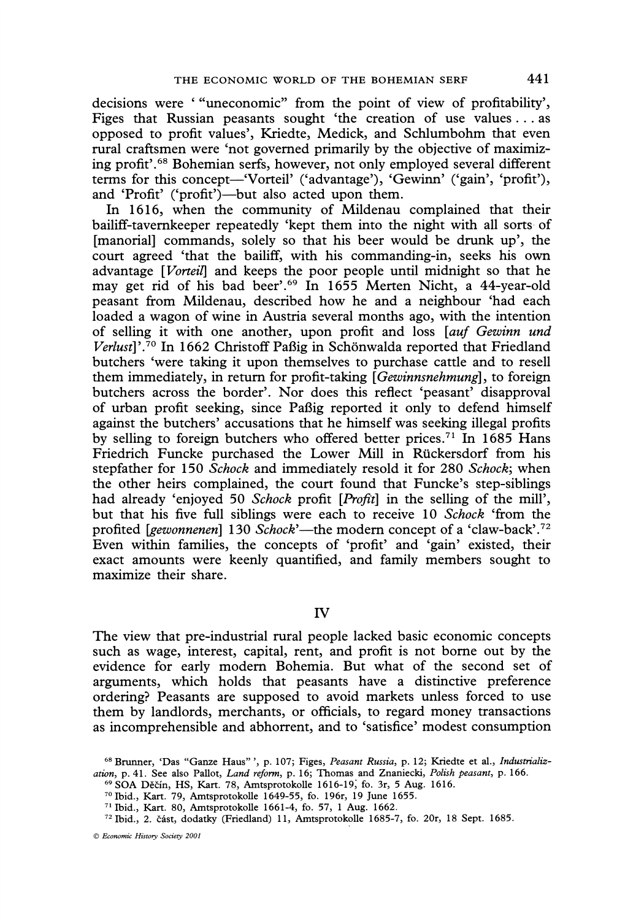decisions were ' "uneconomic" from the point of view of profitability', Figes that Russian peasants sought 'the creation of use values. . . as opposed to profit values', Kriedte, Medick, and Schlumbohm that even rural craftsmen were 'not governed primarily by the objective of maximizing profit'.68 Bohemian serfs, however, not only employed several different terms for this concept—'Vorteil' ('advantage'), 'Gewinn' ('gain', 'profit'), and 'Profit' ('profit')—but also acted upon them.

In 1616, when the community of Mildenau complained that their bailiff-tavernkeeper repeatedly 'kept them into the night with all sorts of [manorial] commands, solely so that his beer would be drunk up', the court agreed 'that the bailiff, with his commanding-in, seeks his own advantage [Vorteil] and keeps the poor people until midnight so that he may get rid of his bad beer'.<sup>69</sup> In 1655 Merten Nicht, a 44-year-old peasant from Mildenau, described how he and a neighbour 'had each loaded a wagon of wine in Austria several months ago, with the intention of selling it with one another, upon profit and loss [auf Gewinn und Verlust]'.<sup>70</sup> In 1662 Christoff Paßig in Schönwalda reported that Friedland butchers 'were taking it upon themselves to purchase cattle and to resell them immediately, in return for profit-taking [Gewinnsnehmung], to foreign butchers across the border'. Nor does this reflect 'peasant' disapproval of urban profit seeking, since PaBig reported it only to defend himself against the butchers' accusations that he himself was seeking illegal profits by selling to foreign butchers who offered better prices.<sup>71</sup> In 1685 Hans Friedrich Funcke purchased the Lower Mill in Riickersdorf from his stepfather for 150 Schock and immediately resold it for 280 Schock; when the other heirs complained, the court found that Funcke's step-siblings had already 'enjoyed 50 Schock profit  $[Profit]$  in the selling of the mill', but that his five full siblings were each to receive 10 Schock 'from the profited [gewonnenen] 130 Schock'—the modern concept of a 'claw-back'.<sup>72</sup> Even within families, the concepts of 'profit' and 'gain' existed, their exact amounts were keenly quantified, and family members sought to maximize their share.

IV

The view that pre-industrial rural people lacked basic economic concepts such as wage, interest, capital, rent, and profit is not borne out by the evidence for early modem Bohemia. But what of the second set of arguments, which holds that peasants have a distinctive preference ordering? Peasants are supposed to avoid markets unless forced to use them by landlords, merchants, or officials, to regard money transactions as incomprehensible and abhorrent, and to 'satisfice' modest consumption

0*Economic Htswv* Soctery *2001* 

**<sup>68</sup>** Brunner, 'Das "Ganze Haus" ', p. 107; Figes, *Peasant Russia,* p. 12; Kriedte et al., *Industrializatwn,* p. 41. See also Pallot, *Land reform,* p. 16; Thomas and Znaniecki, *Polish peasant,* p. 166.

<sup>&</sup>lt;sup>69</sup> SOA Děčín, HS, Kart. 78, Amtsprotokolle 1616-19, fo. 3r, 5 Aug. 1616.<br><sup>70</sup> Ibid., Kart. 79, Amtsprotokolle 1649-55, fo. 196r, 19 June 1655.

<sup>&</sup>lt;sup>71</sup> Ibid., Kart. 80, Amtsprotokolle 1661-4, fo. 57, 1 Aug. 1662.

**<sup>&#</sup>x27;Z** Ibid., 2. fast, dodatky (Friedland) 11, Amtsprotokolle 1685-7, fo. 20r, 18 Sept. 1685.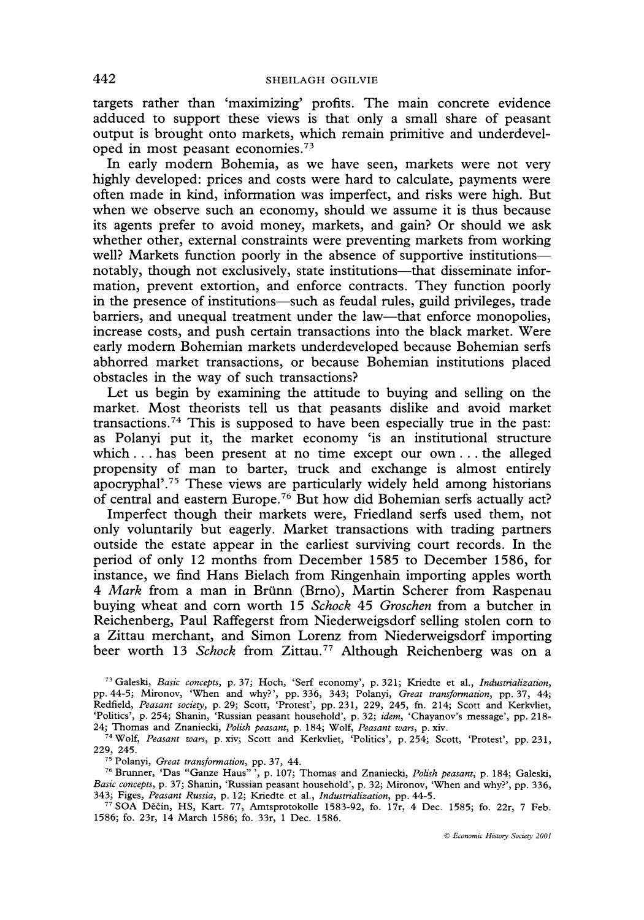targets rather than 'maximizing' profits. The main concrete evidence adduced to support these views is that only a small share of peasant output is brought onto markets, which remain primitive and underdeveloped in most peasant economies.73

In early modern Bohemia, as we have seen, markets were not very highly developed: prices and costs were hard to calculate, payments were often made in kind, information was imperfect, and risks were high. But when we observe such an economy, should we assume it is thus because its agents prefer to avoid money, markets, and gain? Or should we ask whether other, external constraints were preventing markets from working well? Markets function poorly in the absence of supportive institutionsnotably, though not exclusively, state institutions—that disseminate information, prevent extortion, and enforce contracts. They function poorly in the presence of institutions-such as feudal rules, guild privileges, trade barriers, and unequal treatment under the law-that enforce monopolies, increase costs, and push certain transactions into the black market. Were early modern Bohemian markets underdeveloped because Bohemian serfs abhorred market transactions, or because Bohemian institutions placed obstacles in the way of such transactions?

Let us begin by examining the attitude to buying and selling on the market. Most theorists tell us that peasants dislike and avoid market transactions.<sup>74</sup> This is supposed to have been especially true in the past: as Polanyi put it, the market economy 'is an institutional structure which. . . has been present at no time except our own. . . the alleged propensity of man to barter, truck and exchange is almost entirely apocryphal'.<sup>75</sup> These views are particularly widely held among historians of central and eastern Europe.<sup>76</sup> But how did Bohemian serfs actually act?

Imperfect though their markets were, Friedland serfs used them, not only voluntarily but eagerly. Market transactions with trading partners outside the estate appear in the earliest surviving court records. In the period of only 12 months from December 1585 to December 1586, for instance, we find Hans Bielach from Ringenhain importing apples worth 4 *Mark* from a man in Briinn (Brno), Martin Scherer from Raspenau buying wheat and corn worth 15 *Schock* 45 *Groschen* from a butcher in Reichenberg, Paul Raffegerst from Niedenveigsdorf selling stolen corn to a Zittau merchant, and Simon Lorenz from Niedenveigsdorf importing beer worth 13 *Schock* from Zittau.<sup>77</sup> Although Reichenberg was on a

*<sup>73</sup>*Galeski, *Basic concepts,* p. 37; Hoch, 'Serf economy', p. 321; Kriedte et al., *Industrialization,*  pp. 44-5; Mironov, 'When and why?', pp. 336, 343; Polanyi, *Great transformation,* pp. 37, 44; Redfield, *Peasant society,* p. 29; Scott, 'Protest', pp. 231, 229, 245, fn. 214; Scott and Kerkvliet, 'Politics', p. 254; Shanin, 'Russian peasant household', p. 32; *idem,* 'Chayanov's message', pp. 218- 24; Thomas and Znaniecki, *Polish peasant,* p. 184; Wolf, *Peasant wars,* p. xiv.

<sup>74</sup>Wolf, *Peasant wars,* p. xiv; Scott and Kerkvliet, 'Politics', p. 254; Scott, 'Protest', pp. 231, 229, 245.

**<sup>&#</sup>x27;5** Polanyi, *Great transformation,* pp. 37, 44. *<sup>76</sup>*Brumer, 'Das "Ganze Haus" ', p. 107; Thomas and Znaniecki, *Polish peasant,* p. 184; Galeski, *Basic concepts,* p. 37; Shanin, 'Russian peasant household', p. 32; Mironov, 'When and why?', pp. 336, 343; Figes, *Peasant Russia,* p. 12; Kriedte et al., *Indusm'alization,* pp. 44-5.

 $^{77}$  SOA Děčín, HS, Kart. 77, Amtsprotokolle 1583-92, fo. 17 $\overline{r}$ , 4 Dec. 1585; fo. 22r, 7 Feb. 1586; fo. 23r, 14 March 1586; fo. 33r, 1 Dec. 1586.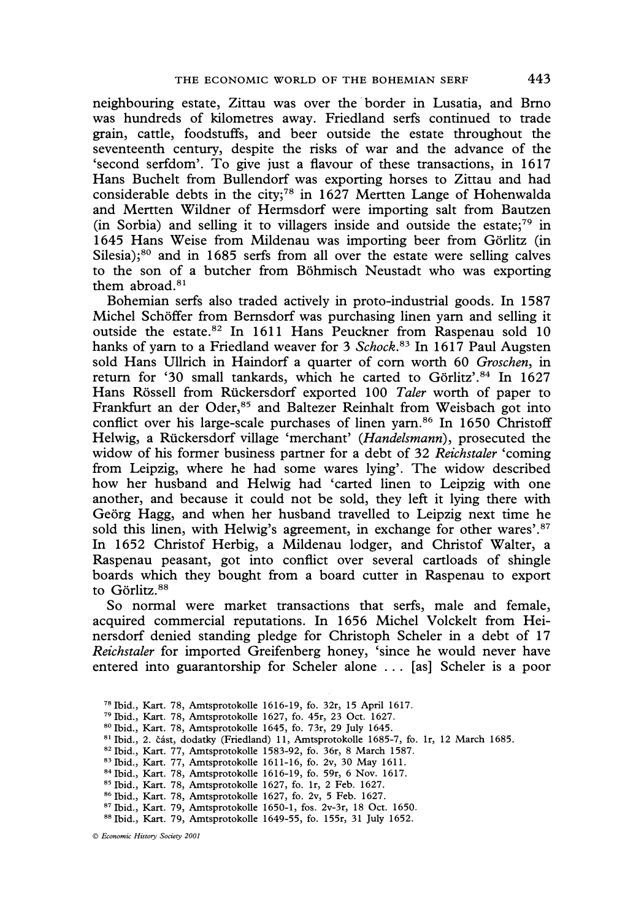neighbouring estate, Zittau was over the border in Lusatia, and Brno was hundreds of kilometres away. Friedland serfs continued to trade grain, cattle, foodstuffs, and beer outside the estate throughout the seventeenth century, despite the risks of war and the advance of the 'second serfdom'. To give just a flavour of these transactions, in 1617 Hans Buchelt from Bullendorf was exporting horses to Zittau and had considerable debts in the city;<sup>78</sup> in 1627 Mertten Lange of Hohenwalda and Mertten Wildner of Hermsdorf were importing salt from Bautzen (in Sorbia) and selling it to villagers inside and outside the estate;<sup>79</sup> in 1645 Hans Weise from Mildenau was importing beer from Gorlitz (in Silesia); $80$  and in 1685 serfs from all over the estate were selling calves to the son of a butcher from Bohmisch Neustadt who was exporting them abroad.81

Bohemian serfs also traded actively in proto-industrial goods. In 1587 Michel Schoffer from Bemsdorf was purchasing linen yam and selling it outside the estate.<sup>82</sup> In 1611 Hans Peuckner from Raspenau sold 10 hanks of yarn to a Friedland weaver for 3 Schock.<sup>83</sup> In 1617 Paul Augsten sold Hans Ullrich in Haindorf a quarter of corn worth 60 Groschen, in return for '30 small tankards, which he carted to Görlitz'.<sup>84</sup> In 1627 Hans Rössell from Rückersdorf exported 100 Taler worth of paper to Frankfurt an der Oder,<sup>85</sup> and Baltezer Reinhalt from Weisbach got into conflict over his large-scale purchases of linen yarn.<sup>86</sup> In 1650 Christoff Helwig, a Rückersdorf village 'merchant' (Handelsmann), prosecuted the widow of his former business partner for a debt of 32 Reichstaler 'coming from Leipzig, where he had some wares lying'. The widow described how her husband and Helwig had 'carted linen to Leipzig with one another, and because it could not be sold, they left it lying there with Georg Hagg, and when her husband travelled to Leipzig next time he sold this linen, with Helwig's agreement, in exchange for other wares'.<sup>87</sup> In 1652 Christof Herbig, a Mildenau lodger, and Christof Walter, a Raspenau peasant, got into conflict over several cartloads of shingle boards which they bought from a board cutter in Raspenau to export to Görlitz.<sup>88</sup>

So normal were market transactions that serfs, male and female, acquired commercial reputations. In 1656 Michel Volckelt from Heinersdorf denied standing pledge for Christoph Scheler in a debt of 17 Reichstaler for imported Greifenberg honey, 'since he would never have entered into guarantorship for Scheler alone . . . [as] Scheler is a poor

- **<sup>78</sup>** Ibid., Kart. 78, Amtsprotokolle 1616-19, fo. 32r, 15 April 1617.
- **<sup>79</sup>**Ibid., Kart. 78, Amtsprotokolle 1627, fo. 45r, 23 Oct. 1627.
- Ibid., Kart. 78, Amtsprotokolle 1645, fo. 73r, 29 July 1645.
- $81$  Ibid., 2. část, dodatky (Friedland) 11, Amtsprotokolle 1685-7, fo. 1r, 12 March 1685.
- **<sup>82</sup>**Ibid., Kart. 77, Amtsprotokolle 1583-92, fo. 36r, 8 March 1587.
- **<sup>83</sup>**Ibid., Kart. 77, Amtsprotokolle 161 1-16, fo. 2v, 30 May 161 1.
- **<sup>84</sup>**Ibid., Kart. 78, Amtsprotokolle 1616-19, fo. 59r, 6 Nov. 1617.
- **<sup>85</sup>**Ibid., Kart. 78, Amtsprotokolle 1627, fo. lr, 2 Feb. 1627.
- 
- <sup>87</sup> Ibid., Kart. 79, Amtsprotokolle 1650-1, fos. 2v-3r, 18 Oct. 1650.
- 88 Ibid., Kart. 79, Amtsprotokolle 1649-55, fo. 155r, 31 July 1652.

 $©$  *Economic History Society 2001*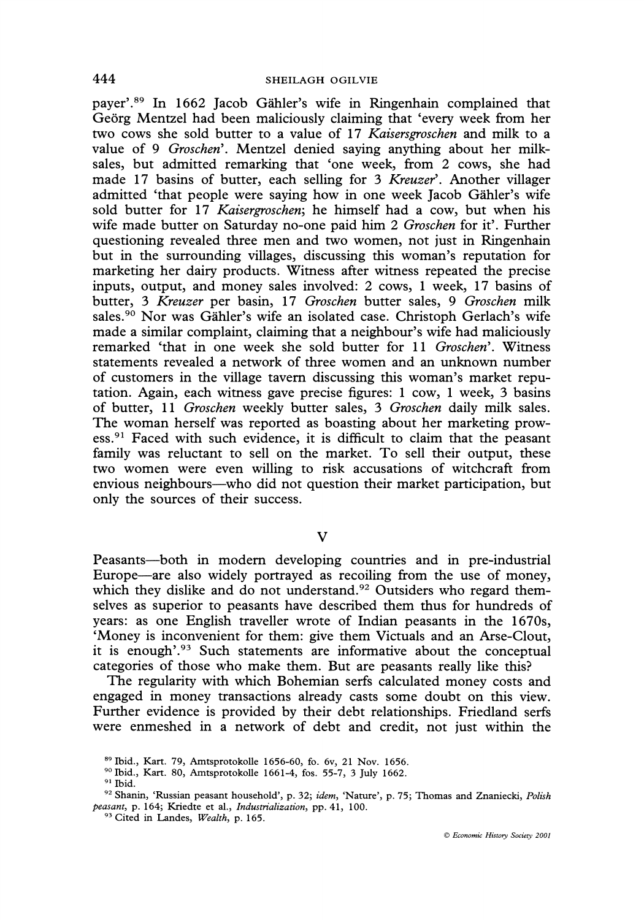payer'.<sup>89</sup> In 1662 Jacob Gähler's wife in Ringenhain complained that Geörg Mentzel had been maliciously claiming that 'every week from her two cows she sold butter to a value of 17 Kaisersgroschen and milk to a value of 9 Groschen'. Mentzel denied saying anything about her milksales, but admitted remarking that 'one week, from 2 cows, she had made 17 basins of butter, each selling for 3 Kreuzer'. Another villager admitted 'that people were saying how in one week Jacob Gahler's wife sold butter for 17 Kaisergroschen; he himself had a cow, but when his wife made butter on Saturday no-one paid him 2 Groschen for it'. Further questioning revealed three men and two women, not just in Ringenhain but in the surrounding villages, discussing this woman's reputation for marketing her dairy products. Witness after witness repeated the precise inputs, output, and money sales involved: 2 cows, 1 week, 17 basins of butter, 3 Kreuzer per basin, 17 Groschen butter sales, 9 Groschen milk sales.90 Nor was Gahler's wife an isolated case. Christoph Gerlach's wife made a similar complaint, claiming that a neighbour's wife had maliciously remarked 'that in one week she sold butter for 11 Groschen'. Witness statements revealed a network of three women and an unknown number of customers in the village tavern discussing this woman's market reputation. Again, each witness gave precise figures: 1 cow, 1 week, 3 basins of butter, 11 Groschen weekly butter sales, 3 Groschen daily milk sales. The woman herself was reported as boasting about her marketing prowess.<sup>91</sup> Faced with such evidence, it is difficult to claim that the peasant family was reluctant to sell on the market. To sell their output, these two women were even willing to risk accusations of witchcraft from envious neighbours-who did not question their market participation, but only the sources of their success.

 $\overline{\mathbf{V}}$ 

Peasants-both in modern developing countries and in pre-industrial Europe-are also widely portrayed as recoiling from the use of money, which they dislike and do not understand.<sup>92</sup> Outsiders who regard themselves as superior to peasants have described them thus for hundreds of years: as one English traveller wrote of Indian peasants in the 1670s, 'Money is inconvenient for them: give them Victuals and an Arse-Clout, it is enough'.93 Such statements are informative about the conceptual categories of those who make them. But are peasants really like this?

The regularity with which Bohemian serfs calculated money costs and engaged in money transactions already casts some doubt on this view. Further evidence is provided by their debt relationships. Friedland serfs were enmeshed in a network of debt and credit, not just within the

<sup>89</sup> Ibid., Kart. 79, Amtsprotokolle 1656-60, fo. 6v, 21 Nov. 1656.

 $90$  Ibid., Kart. 80, Amtsprotokolle 1661-4, fos. 55-7, 3 July 1662.

**<sup>91</sup>** Ibid.

<sup>&</sup>lt;sup>92</sup> Shanin, 'Russian peasant household', p. 32; *idem*, 'Nature', p. 75; Thomas and Znaniecki, *Polish peasant,* p. 164; Knedte et al., *Industrializanon,* pp. 41, 100.

**<sup>93</sup>**Cited in Landes, *Wealth,* p. 165.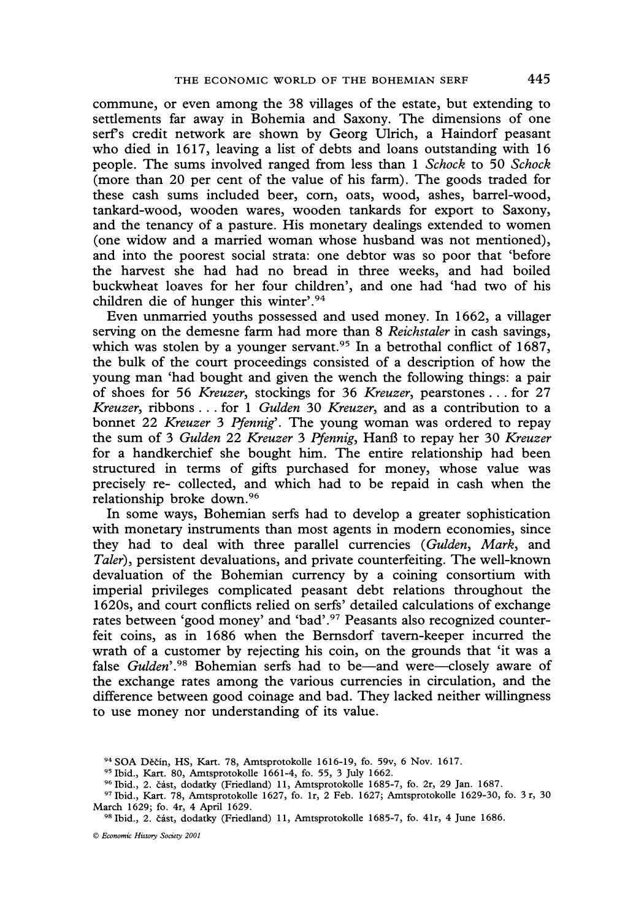commune, or even among the 38 villages of the estate, but extending to settlements far away in Bohemia and Saxony. The dimensions of one serfs credit network are shown by Georg Ulrich, a Haindorf peasant who died in 1617, leaving a list of debts and loans outstanding with 16 people. The sums involved ranged from less than 1 Schock to 50 Schock (more than 20 per cent of the value of his farm). The goods traded for these cash sums included beer, corn, oats, wood, ashes, barrel-wood, tankard-wood, wooden wares, wooden tankards for export to Saxony, and the tenancy of a pasture. His monetary dealings extended to women (one widow and a married woman whose husband was not mentioned), and into the poorest social strata: one debtor was so poor that 'before the harvest she had had no bread in three weeks, and had boiled buckwheat loaves for her four children', and one had 'had two of his children die of hunger this winter'.94

Even unmarried youths possessed and used money. In 1662, a villager serving on the demesne farm had more than 8 Reichstaler in cash savings, which was stolen by a younger servant.<sup>95</sup> In a betrothal conflict of 1687, the bulk of the court proceedings consisted of a description of how the young man 'had bought and given the wench the following things: a pair of shoes for 56 Kreuzer, stockings for 36 Kreuzer, pearstones . . . for 27 Kreuzer, ribbons . . . for 1 Gulden 30 Kreuzer, and as a contribution to a bonnet 22 Kreuzer 3 Pfennig'. The young woman was ordered to repay the sum of 3 Gulden 22 Kreuzer 3 Pfennig, Hanß to repay her 30 Kreuzer for a handkerchief she bought him. The entire relationship had been structured in terms of gifts purchased for money, whose value was precisely re- collected, and which had to be repaid in cash when the relationship broke down.96

In some ways, Bohemian serfs had to develop a greater sophistication with monetary instruments than most agents in modern economies, since they had to deal with three parallel currencies (Gulden, Mark, and Taler), persistent devaluations, and private counterfeiting. The well-known devaluation of the Bohemian currency by a coining consortium with imperial privileges complicated peasant debt relations throughout the 1620s, and court conflicts relied on serfs' detailed calculations of exchange rates between 'good money' and 'bad'.<sup>97</sup> Peasants also recognized counterfeit coins, as in 1686 when the Bernsdorf tavern-keeper incurred the wrath of a customer by rejecting his coin, on the grounds that 'it was a false Gulden'.<sup>98</sup> Bohemian serfs had to be-and were-closely aware of the exchange rates among the various currencies in circulation, and the difference between good coinage and bad. They lacked neither willingness to use money nor understanding of its value.

<sup>&</sup>lt;sup>94</sup> SOA Děčín, HS, Kart. 78, Amtsprotokolle 1616-19, fo. 59v, 6 Nov. 1617.

**<sup>95</sup>**Ibid., Kart. 80, Amtsprotokolle 1661-4, fo. 55, 3 July 1662.

<sup>&</sup>lt;sup>96</sup> Ibid., 2. část, dodatky (Friedland) 11, Amtsprotokolle 1685-7, fo. 2r, 29 Jan. 1687.

**<sup>97</sup>**Ibid., Kart. 78, Amtsprotokolle 1627, fo. lr, 2 Feb. 1627; Amtsprotokolle 1629-30, fo. 3 r, 30 March 1629; fo. 4r, 4 April 1629.

<sup>&</sup>lt;sup>98</sup> Ibid., 2. část, dodatky (Friedland) 11, Amtsprotokolle 1685-7, fo. 41r, 4 June 1686.

 $©$  Economic History Society 2001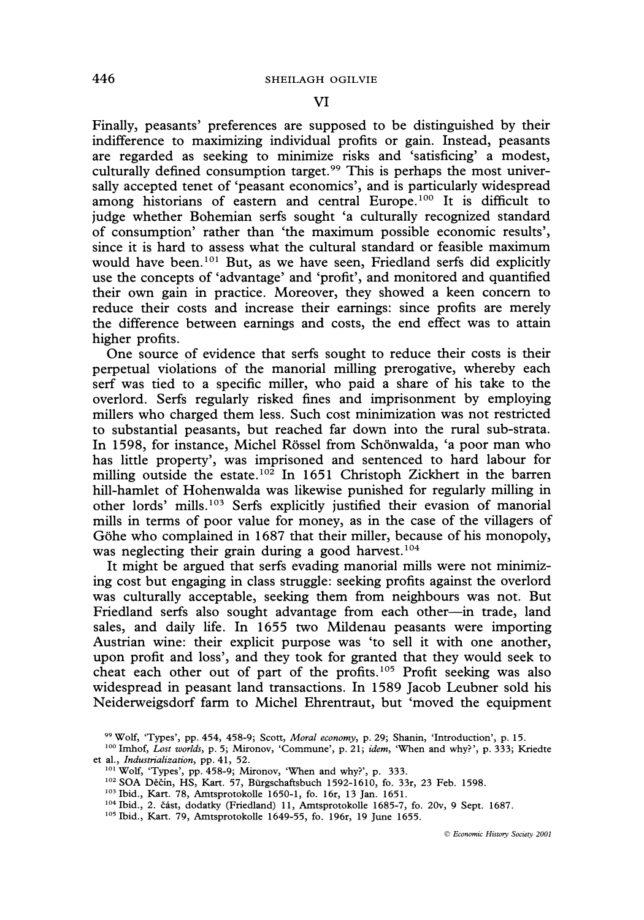Finally, peasants' preferences are supposed to be distinguished by their indifference to maximizing individual profits or gain. Instead, peasants are regarded as seeking to minimize risks and 'satisficing' a modest, culturally defined consumption target.<sup>99</sup> This is perhaps the most universally accepted tenet of 'peasant economics', and is particularly widespread among historians of eastern and central Europe.<sup>100</sup> It is difficult to judge whether Bohemian serfs sought 'a culturally recognized standard of consumption' rather than 'the maximum possible economic results', since it is hard to assess what the cultural standard or feasible maximum would have been.<sup>101</sup> But, as we have seen, Friedland serfs did explicitly use the concepts of 'advantage' and 'profit', and monitored and quantified their own gain in practice. Moreover, they showed a keen concern to reduce their costs and increase their earnings: since profits are merely the difference between earnings and costs, the end effect was to attain higher profits.

One source of evidence that serfs sought to reduce their costs is their perpetual violations of the manorial milling prerogative, whereby each serf was tied to a specific miller, who paid a share of his take to the overlord. Serfs regularly risked fines and imprisonment by employing millers who charged them less. Such cost minimization was not restricted to substantial peasants, but reached far down into the rural sub-strata. In 1598, for instance, Michel Rössel from Schönwalda, 'a poor man who has little property', was imprisoned and sentenced to hard labour for milling outside the estate.<sup>102</sup> In 1651 Christoph Zickhert in the barren hill-hamlet of Hohenwalda was likewise punished for regularly milling in other lords' mills.<sup>103</sup> Serfs explicitly justified their evasion of manorial mills in terms of poor value for money, as in the case of the villagers of Göhe who complained in 1687 that their miller, because of his monopoly, was neglecting their grain during a good harvest.<sup>104</sup>

It might be argued that serfs evading manorial mills were not minimizing cost but engaging in class struggle: seeking profits against the overlord was culturally acceptable, seeking them from neighbours was not. But Friedland serfs also sought advantage from each other-in trade, land sales, and daily life. In 1655 two Mildenau peasants were importing Austrian wine: their explicit purpose was 'to sell it with one another, upon profit and loss', and they took for granted that they would seek to cheat each other out of part of the profits.<sup>105</sup> Profit seeking was also widespread in peasant land transactions. In 1589 Jacob Leubner sold his Neidenveigsdorf farm to Michel Ehrentraut, but 'moved the equipment

C *Economic Hiscov Soaery 2001* 

<sup>99</sup>Wolf, 'Types', pp. 454, 458-9; Scott, *Moral economy,* p. 29; Shanin, 'Introduction', p. 15.

loo Imhof, *Lost worlds,* p. 5; Mironov, 'Commune', p. 21; *idem,* 'When and why?', p. 333; Kriedte et al., *Industrialization,* pp. 41, 52.

lo' Wolf, 'Types', pp. 458-9; Mironov, 'When and why?', p. 333.

<sup>&</sup>lt;sup>102</sup> SOA Děčín, HS, Kart. 57, Bürgschaftsbuch 1592-1610, fo. 33r, 23 Feb. 1598.

<sup>103</sup> Ibid., Kart. 78, Amtsprotokolle 1650-1, fo. 16r, 13 Jan. 1651.

<sup>&</sup>lt;sup>104</sup> Ibid., 2. část, dodatky (Friedland) 11, Amtsprotokolle 1685-7, fo. 20v, 9 Sept. 1687.

<sup>&</sup>lt;sup>105</sup> Ibid., Kart. 79, Amtsprotokolle 1649-55, fo. 196r, 19 June 1655.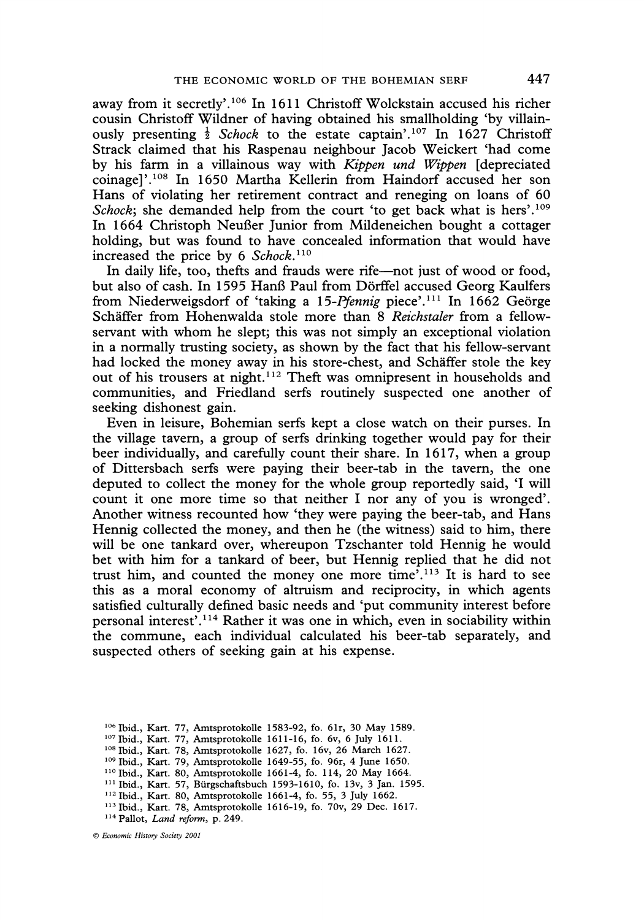away from it secretly'.<sup>106</sup> In 1611 Christoff Wolckstain accused his richer cousin Christoff Wildner of having obtained his smallholding 'by villainously presenting  $\frac{1}{2}$  Schock to the estate captain'.<sup>107</sup> In 1627 Christoff Strack claimed that his Raspenau neighbour Jacob Weickert 'had come by his farm in a villainous way with *Kippen und Wippen* [depreciated coinage]'.<sup>108</sup> In 1650 Martha Kellerin from Haindorf accused her son Hans of violating her retirement contract and reneging on loans of 60 Schock; she demanded help from the court 'to get back what is hers'.<sup>109</sup> In 1664 Christoph NeuDer Junior from Mildeneichen bought a cottager holding, but was found to have concealed information that would have increased the price by  $6$  Schock.<sup>110</sup>

In daily life, too, thefts and frauds were rife-not just of wood or food, but also of cash. In 1595 Hanß Paul from Dörffel accused Georg Kaulfers from Niederweigsdorf of 'taking a 15-Pfennig piece'.<sup>111</sup> In 1662 Geörge Schaffer from Hohenwalda stole more than 8 Reichstaler from a fellowservant with whom he slept; this was not simply an exceptional violation in a normally trusting society, as shown by the fact that his fellow-servant had locked the money away in his store-chest, and Schaffer stole the key out of his trousers at night.<sup>112</sup> Theft was omnipresent in households and communities, and Friedland serfs routinely suspected one another of seeking dishonest gain.

Even in leisure, Bohemian serfs kept a close watch on their purses. In the village tavern, a group of serfs drinking together would pay for their beer individually, and carefully count their share. In 1617, when a group of Dittersbach serfs were paying their beer-tab in the tavern, the one deputed to collect the money for the whole group reportedly said, 'I will count it one more time so that neither I nor any of you is wronged'. Another witness recounted how 'they were paying the beer-tab, and Hans Hennig collected the money, and then he (the witness) said to him, there will be one tankard over, whereupon Tzschanter told Hennig he would bet with him for a tankard of beer, but Hennig replied that he did not trust him, and counted the money one more time<sup> $7,113$ </sup> It is hard to see this as a moral economy of altruism and reciprocity, in which agents satisfied culturally defined basic needs and 'put community interest before personal interest'.'14 Rather it was one in which, even in sociability within the commune, each individual calculated his beer-tab separately, and suspected others of seeking gain at his expense.

- 106 Ibid., Kart. 77, Amtsprotokolle 1583-92, fo. 61r, 30 May 1589.
- <sup>107</sup> Ibid., Kart. 77, Amtsprotokolle 1611-16, fo. 6v, 6 July 1611.
- <sup>108</sup> Ibid., Kart. 78, Amtsprotokolle 1627, fo. 16v, 26 March 1627.
- <sup>109</sup> Ibid., Kart. 79, Amtsprotokolle 1649-55, fo. 96r, 4 June 1650.
- 110 Ibid., Kart. 80, Amtsprotokolle 1661-4, fo. 114, 20 May 1664.<br><sup>111</sup> Ibid., Kart. 57, Bürgschaftsbuch 1593-1610, fo. 13v, 3 Jan. 1595.
- 
- <sup>112</sup> Ibid., Kart. 80, Amtsprotokolle 1661-4, fo. 55, 3 July 1662.
- Il3 Ibid., Kart. 78, Amtsprotokolle 1616-19, fo. 70v, 29 Dec. 1617.
- <sup>114</sup> Pallot, *Land reform*, p. 249.

 $© Economic History Society 2001$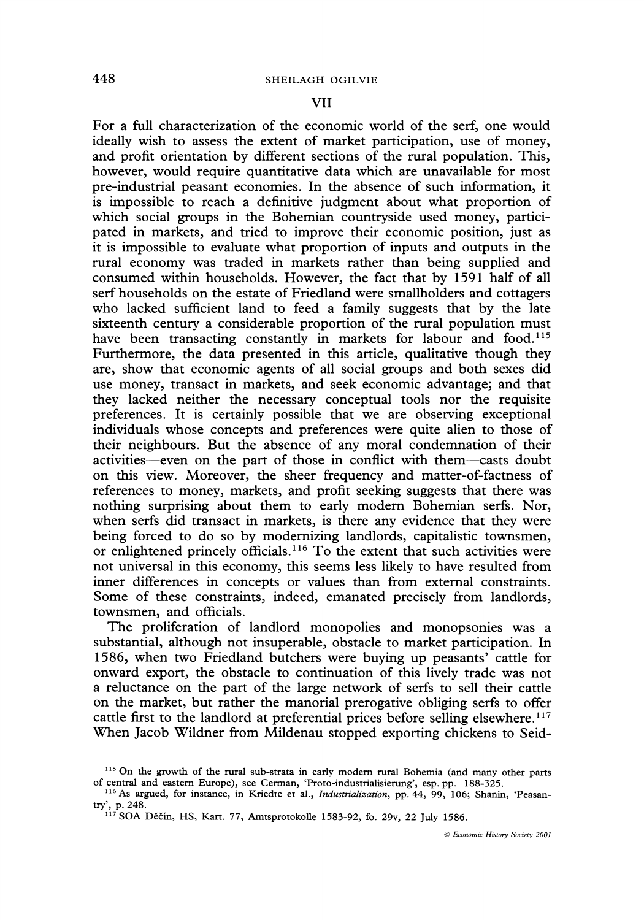#### VII

For a full characterization of the economic world of the serf, one would ideally wish to assess the extent of market participation, use of money, and profit orientation by different sections of the rural population. This, however, would require quantitative data which are unavailable for most pre-industrial peasant economies. In the absence of such information, it is impossible to reach a definitive judgment about what proportion of which social groups in the Bohemian countryside used money, participated in markets, and tried to improve their economic position, just as it is impossible to evaluate what proportion of inputs and outputs in the rural economy was traded in markets rather than being supplied and consumed within households. However, the fact that by 1591 half of all serf households on the estate of Friedland were smallholders and cottagers who lacked sufficient land to feed a family suggests that by the late sixteenth century a considerable proportion of the rural population must have been transacting constantly in markets for labour and  $food.<sup>115</sup>$ Furthermore, the data presented in this article, qualitative though they are, show that economic agents of all social groups and both sexes did use money, transact in markets, and seek economic advantage; and that they lacked neither the necessary conceptual tools nor the requisite preferences. It is certainly possible that we are observing exceptional individuals whose concepts and preferences were quite alien to those of their neighbours. But the absence of any moral condemnation of their activities-even on the part of those in conflict with them-casts doubt on this view. Moreover, the sheer frequency and matter-of-factness of references to money, markets, and profit seeking suggests that there was nothing surprising about them to early modern Bohemian serfs. Nor, when serfs did transact in markets, is there any evidence that they were being forced to do so by modernizing landlords, capitalistic townsmen, or enlightened princely officials.<sup>116</sup> To the extent that such activities were not universal in this economy, this seems less likely to have resulted from inner differences in concepts or values than from external constraints. Some of these constraints, indeed, emanated precisely from landlords, townsmen, and officials.

The proliferation of landlord monopolies and monopsonies was a substantial, although not insuperable, obstacle to market participation. In 1586, when two Friedland butchers were buying up peasants' cattle for onward export, the obstacle to continuation of this lively trade was not a reluctance on the part of the large network of serfs to sell their cattle on the market, but rather the manorial prerogative obliging serfs to offer cattle first to the landlord at preferential prices before selling elsewhere.<sup>117</sup> When Jacob Wildner from Mildenau stopped exporting chickens to Seid-

<sup>&</sup>lt;sup>115</sup> On the growth of the rural sub-strata in early modern rural Bohemia (and many other parts of central and eastem Europe), see Cerman, 'Proto-industrialisierung', esp. pp. 188-325.

<sup>&</sup>lt;sup>116</sup> As argued, for instance, in Kriedte et al., *Industrialization*, pp. 44, 99, 106; Shanin, 'Peasantry', p. 248.

<sup>117</sup> SOA Děčín, HS, Kart. 77, Amtsprotokolle 1583-92, fo. 29v, 22 July 1586.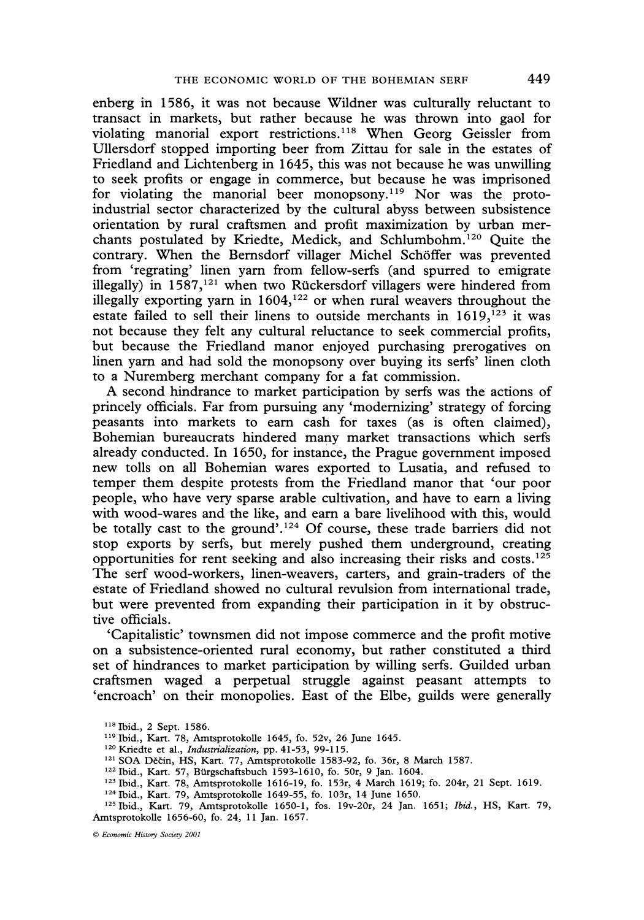enberg in 1586, it was not because Wildner was culturally reluctant to transact in markets, but rather because he was thrown into gaol for violating manorial export restrictions.<sup>118</sup> When Georg Geissler from Ullersdorf stopped importing beer from Zittau for sale in the estates of Friedland and Lichtenberg in 1645, this was not because he was unwilling to seek profits or engage in commerce, but because he was imprisoned for violating the manorial beer monopsony.<sup>119</sup> Nor was the protoindustrial sector characterized by the cultural abyss between subsistence orientation by rural craftsmen and profit maximization by urban merchants postulated by Kriedte, Medick, and Schlumbohm.<sup>120</sup> Quite the contrary. When the Bernsdorf villager Michel Schoffer was prevented from 'regrating' linen yarn from fellow-serfs (and spurred to emigrate illegally) in  $1587$ <sup>121</sup> when two Rückersdorf villagers were hindered from illegally exporting yarn in  $1604$ ,<sup>122</sup> or when rural weavers throughout the estate failed to sell their linens to outside merchants in  $1619$ ,<sup>123</sup> it was not because they felt any cultural reluctance to seek commercial profits, but because the Friedland manor enjoyed purchasing prerogatives on linen yarn and had sold the monopsony over buying its serfs' linen cloth to a Nuremberg merchant company for a fat commission.

**A** second hindrance to market participation by serfs was the actions of princely officials. Far from pursuing any 'modernizing' strategy of forcing peasants into markets to earn cash for taxes (as is often claimed), Bohemian bureaucrats hindered many market transactions which serfs already conducted. In 1650, for instance, the Prague government imposed new tolls on all Bohemian wares exported to Lusatia, and refused to temper them despite protests from the Friedland manor that 'our poor people, who have very sparse arable cultivation, and have to earn a living with wood-wares and the like, and earn a bare livelihood with this, would be totally cast to the ground'.<sup>124</sup> Of course, these trade barriers did not stop exports by serfs, but merely pushed them underground, creating opportunities for rent seeking and also increasing their risks and costs.<sup>125</sup> The serf wood-workers, linen-weavers, carters, and grain-traders of the estate of Friedland showed no cultural revulsion from international trade, but were prevented from expanding their participation in it by obstructive officials.

'Capitalistic' townsmen did not impose commerce and the profit motive on a subsistence-oriented rural economy, but rather constituted a third set of hindrances to market participation by willing serfs. Guilded urban craftsmen waged a perpetual struggle against peasant attempts to 'encroach' on their monopolies. East of the Elbe, guilds were generally

- 119 Ibid., Kart. 78, Amtsprotokolle 1645, fo. 52v, 26 June 1645.
- <sup>120</sup> Kriedte et al., *Industrialization*, pp. 41-53, 99-115.
- <sup>121</sup> SOA Děčín, HS, Kart. 77, Amtsprotokolle 1583-92, fo. 36r, 8 March 1587.
- <sup>122</sup> Ibid., Kart. 57, Bürgschaftsbuch 1593-1610, fo. 50r, 9 Jan. 1604.
- 123 Ibid., Kart. 78, Amtsprotokolle 1616-19, fo. 153r, 4 March 1619; fo. 204r, 21 Sept. 1619.
- <sup>124</sup> Ibid., Kart. 79, Amtsprotokolle 1649-55, fo. 103r, 14 June 1650.
- 125 Ibid., Kart. 79, Amtsprotokolle 1650-1, fos. 19v-20r, 24 Jan. 1651; Ibid., HS, Kart. 79, Amtsprotokolle 1656-60, fo. 24, 11 Jan. 1657.

 $©$  *Economic History Society 2001* 

<sup>&</sup>lt;sup>118</sup> Ibid., 2 Sept. 1586.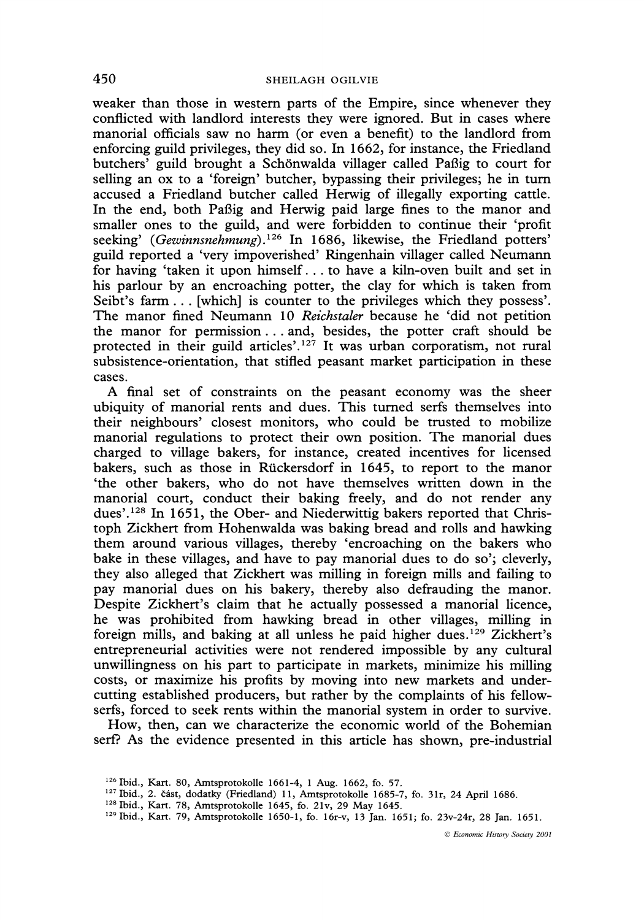weaker than those in western parts of the Empire, since whenever they conflicted with landlord interests they were ignored. But in cases where manorial officials saw no harm (or even a benefit) to the landlord from enforcing guild privileges, they did so. In 1662, for instance, the Friedland butchers' guild brought a Schönwalda villager called Paßig to court for selling an ox to a 'foreign' butcher, bypassing their privileges; he in turn accused a Friedland butcher called Henvig of illegally exporting cattle. In the end, both Paßig and Herwig paid large fines to the manor and smaller ones to the guild, and were forbidden to continue their 'profit seeking' (Gewinnsnehmung).<sup>126</sup> In 1686, likewise, the Friedland potters' guild reported a 'very impoverished' Ringenhain villager called Neumann for having 'taken it upon himself. . . to have a kiln-oven built and set in his parlour by an encroaching potter, the clay for which is taken from Seibt's farm . . . [which] is counter to the privileges which they possess'. The manor fined Neumann 10 Reichstaler because he 'did not petition the manor for permission.. . and, besides, the potter craft should be protected in their guild articles'.<sup>127</sup> It was urban corporatism, not rural subsistence-orientation, that stifled peasant market participation in these cases.

A final set of constraints on the peasant economy was the sheer ubiquity of manorial rents and dues. This turned serfs themselves into their neighbours' closest monitors, who could be trusted to mobilize manorial regulations to protect their own position. The manorial dues charged to village bakers, for instance, created incentives for licensed bakers, such as those in Riickersdorf in 1645, to report to the manor 'the other bakers, who do not have themselves written down in the manorial court, conduct their baking freely, and do not render any dues'.<sup>128</sup> In 1651, the Ober- and Niederwittig bakers reported that Christoph Zickhert from Hohenwalda was baking bread and rolls and hawking them around various villages, thereby 'encroaching on the bakers who bake in these villages, and have to pay manorial dues to do so'; cleverly, they also alleged that Zickhert was milling in foreign mills and failing to pay manorial dues on his bakery, thereby also defrauding the manor. Despite Zickhert's claim that he actually possessed a manorial licence, he was prohibited from hawking bread in other villages, milling in foreign mills, and baking at all unless he paid higher dues.<sup>129</sup> Zickhert's entrepreneurial activities were not rendered impossible by any cultural unwillingness on his part to participate in markets, minimize his milling costs, or maximize his profits by moving into new markets and undercutting established producers, but rather by the complaints of his fellowserfs, forced to seek rents within the manorial system in order to survive.

HOW, then, can we characterize the economic world of the Bohemian serf? As the evidence presented in this article has shown, pre-industrial

*Iz6* Ibid., Kart. 80, Amtsprotokolle 1661-4, 1 Aug. 1662, fo. 57.

<sup>&</sup>lt;sup>127</sup> Ibid., 2. část, dodatky (Friedland) 11, Amtsprotokolle 1685-7, fo. 31r, 24 April 1686.

<sup>&</sup>lt;sup>128</sup> Ibid., Kart. 78, Amtsprotokolle 1645, fo. 21v, 29 May 1645.

 $129$  Ibid., Kart. 79, Amtsprotokolle 1650-1, fo. 16r-v, 13 Jan. 1651; fo. 23v-24r, 28 Jan. 1651.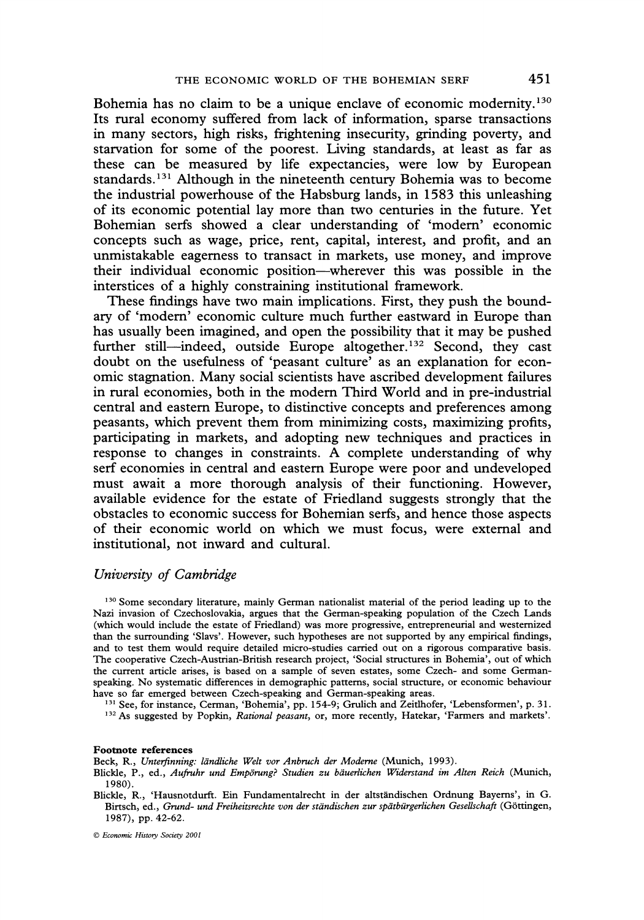Bohemia has no claim to be a unique enclave of economic modernity.130 Its rural economy suffered from lack of information, sparse transactions in many sectors, high risks, frightening insecurity, grinding poverty, and starvation for some of the poorest. Living standards, at least as far as these can be measured by life expectancies, were low by European standards.<sup>131</sup> Although in the nineteenth century Bohemia was to become the industrial powerhouse of the Habsburg lands, in 1583 this unleashing of its economic potential lay more than two centuries in the future. Yet Bohemian serfs showed a clear understanding of 'modern' economic concepts such as wage, price, rent, capital, interest, and profit, and an unmistakable eagerness to transact in markets, use money, and improve their individual economic position-wherever this was possible in the interstices of a highly constraining institutional framework.

These findings have two main implications. First, they push the boundary of 'modern' economic culture much further eastward in Europe than has usually been imagined, and open the possibility that it may be pushed further still-indeed, outside Europe altogether.<sup>132</sup> Second, they cast doubt on the usefulness of 'peasant culture' as an explanation for economic stagnation. Many social scientists have ascribed development failures in rural economies, both in the modern Third World and in pre-industrial central and eastern Europe, to distinctive concepts and preferences among peasants, which prevent them from minimizing costs, maximizing profits, participating in markets, and adopting new techniques and practices in response to changes in constraints. A complete understanding of why serf economies in central and eastern Europe were poor and undeveloped must await a more thorough analysis of their functioning. However, available evidence for the estate of Friedland suggests strongly that the obstacles to economic success for Bohemian serfs, and hence those aspects of their economic world on which we must focus, were external and institutional, not inward and cultural.

### *University* **of** *Cambridge*

**<sup>130</sup>**Some secondary literature, mainly German nationalist material of the period leading up to the Nazi invasion of Czechoslovakia, argues that the German-speaking population of the Czech Lands (which would include the estate of Friedland) was more progressive, entrepreneurial and westernized than the surrounding 'Slavs'. However, such hypotheses are not supported by any empirical findings, and to test them would require detailed micro-studies carried out on a rigorous comparative basis. The cooperative Czech-Austrian-British research project, 'Social structures in Bohemia', out of which the current article arises, is based on a sample of seven estates, some Czech- and some Germanspeaking. No systematic differences in demographic patterns, social structure, or economic behaviour have so far emerged between Czech-speaking and German-speaking areas.

**13'** See, for instance, Cerman, 'Bohemia', pp. 154-9; Grulich and Zeitlhofer, 'Lebensformen', p. 31. **<sup>132</sup>**As suggested by Popkin, *Rational peasant,* or, more recently, Hatekar, 'Farmers and markets'.

#### **Footnote references**

Beck, R., Unterfinning: ländliche Welt vor Anbruch der Moderne (Munich, 1993).

- Blickle, P., ed., Aufruhr und Empörung? Studien zu bäuerlichen Widerstand im Alten Reich (Munich, 1980).
- Blickle, R., 'Hausnotdurft. Ein Fundamentalrecht in der altstandischen Ordnung Bayerns', in G. Birtsch, ed., *Grund- und Freiheitsrechte von der ständischen zur spätbürgerlichen Gesellschaft* (Göttingen, 1987), pp. 42-62.

0*Economzc Htswy Society* 2001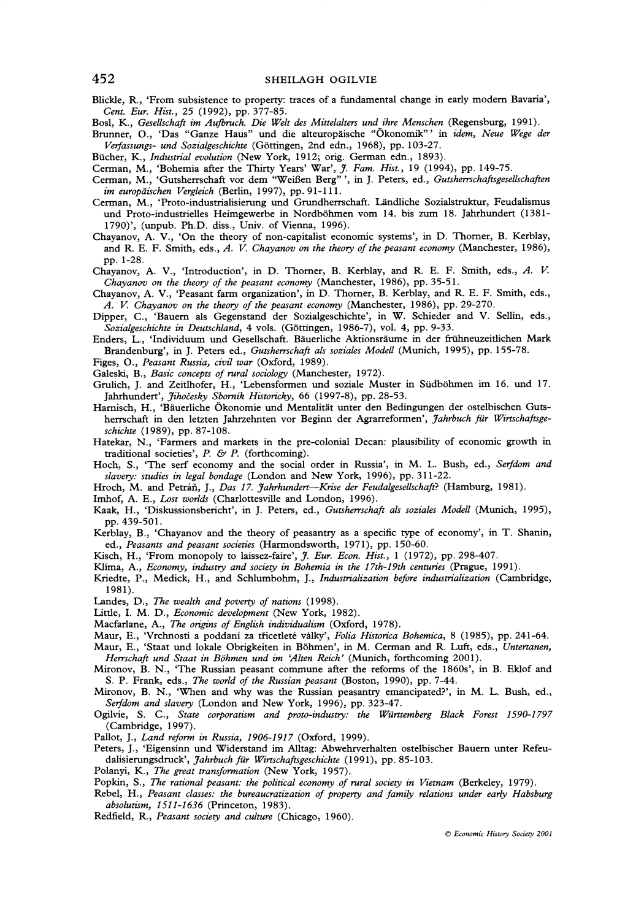- Blickle, R., 'From subsistence to property: traces of a fundamental change in early modem Bavaria', *Cent. Eur. Hist.,* 25 (1992), pp. 377-85.
- Bosl, K., *Gesellschaft im Aufbruch. Die Welt des Mittelalters und ihre Menschen* (Regensburg, 1991).
- Brunner, O., 'Das "Ganze Haus" und die alteuropaische "Okonomik"' in *idem, Neue Wege der*  Verfassungs- und Sozialgeschichte (Göttingen, 2nd edn., 1968), pp. 103-27.
- Biicher, K., *Industrial evolution* (New York, 1912; orig. German edn., 1893).
- Cerman, M., 'Bohemia after the Thirty Years' War', *J. Fam. Hist.,* 19 (1994), pp. 149-75.
- Cerman, M., 'Gutsherrschaft vor dem "Weifien Berg" ', in J. Peters, ed., Gutsherrschaftsgesellschaften *im europaischen Vergleich* (Berlin, 1997), pp. 9 1-1 1 1.
- Cerman, M., 'Proto-industrialisierung und Grundherrschaft. Landliche Sozialstruktur, Feudalismus und Proto-industrielles Heimgewerbe in Nordböhmen vom 14. bis zum 18. Jahrhundert (1381-1790)', (unpub. Ph.D. diss., Univ. of Vienna, 1996).
- Chayanov, A. V., 'On the theory of non-capitalist economic systems', in D. Thomer, B. Kerblay, and R. E. F. Smith, eds., *A. V. Chayanov on the theory of the peasant economy* (Manchester, 1986), pp. 1-28.
- Chayanov, A. V., 'Introduction', in D. Thomer, B. Kerblay, and R. E. F. Smith, eds., *A.* **I.:**  *Chayanov on the theory of the peasant economy* (Manchester, 1986), pp. 35-51.
- Chayanov, A. V., 'Peasant farm organization', in D. Thomer, B. Kerblay, and R. E. F. Smith, eds., *A. I.: Chayanov on the theory of the peasant economy* (Manchester, 1986), pp. 29-270.
- Dipper, C., 'Bauem als Gegenstand der Sozialgeschichte', in W. Schieder and V. Sellin, eds., *Sozialgeschichte in Deutschland,* 4 vols. (Gottingen, 1986-7), vol. 4, pp. 9-33.
- Enders, L., 'Individuum und Gesellschaft. Bäuerliche Aktionsräume in der frühneuzeitlichen Mark Brandenburg', in J. Peters ed., *Gutsherrschaft als soziales Model1* (Munich, 1995), pp. 155-78.
- Figes, O., *Peasant Russia, civil war* (Oxford, 1989).
- Galeski, B., *Basic concepts of rural sociology* (Manchester, 1972).
- Grulich, J. and Zeitlhofer, H., 'Lebensformen und soziale Muster in Siidbohmen im 16. und 17. Jahrhundert', *Jthoiesky Sbomik Historicky,* 66 (1997-8), pp. 28-53.
- Harnisch, H., 'Bäuerliche Ökonomie und Mentalität unter den Bedingungen der ostelbischen Gutsherrschaft in den letzten Jahrzehnten vor Beginn der Agrarreformen', *Jahrbuch fur Winschafrsgeschichte* (1989), pp. 87-108.
- Hatekar, N., 'Farmers and markets in the pre-colonial Decan: plausibility of economic growth in traditional societies', *P. 6 P.* (forthcoming).
- Hoch, S., 'The serf economy and the social order in Russia', in M. L. Bush, ed., *Serfdom and slavery: studies in legal bondage* (London and New York, 1996), pp. 311-22.
- Hroch, M. and Petráň, J., *Das 17. Jahrhundert-Krise der Feudalgesellschaft?* (Hamburg, 1981).
- Imhof, *A.* E., *Lost worlds* (Charlottesville and London, 1996).
- Kaak, H., 'Diskussionsbericht', in J. Peters, ed., *Guwherrschaft als soziales Model1* (Munich, 1995), pp. 439-501.
- Kerblay, B., 'Chayanov and the theory of peasantry as a specific type of economy', in T. Shanin, ed., Peasants and peasant societies (Harmondsworth, 1971), pp. 150-60.
- Kisch, H., 'From monopoly to laissez-faire', *J. Eur. Econ. Hist.,* 1 (1972), pp. 298-407.
- Klima, A,, *Economy, industry and sociery in Bohemia in the 17th-19th centuries* (Prague, 1991).
- Kriedte, P., Medick, H., and Schlumbohrn, J., *Indusm'alization before indusm'alization* (Cambridge, 1981).
- Landes, D., *The wealth and poverty of nations* (1998).
- Little, I. M. D., *Economic development* (New York, 1982).
- Macfarlane, A., *The origins of English individualism* (Oxford, 1978).
- Maur, E., 'Vrchnosti a poddani za tficetlete valky', *Folia Historica Bohemica,* 8 (1985), pp. 241-64. Maur, E., 'Staat und lokale Obrigkeiten in Bohmen', in M. Cerman and R. Luft, eds., *Untertanen,*
- *Herrschaft und Staat in Bohmen und im 'Alten Reich'* (Munich, forthcoming 2001).
- Mironov, B. N., 'The Russian peasant commune after the reforms of the 1860s', in B. Eklof and S. P. Frank, eds., *The world of the Russian peasant* (Boston, 1990), pp. 7-44.
- Mironov, B. N., 'When and why was the Russian peasantry emancipated?', in M. L. Bush, ed., *Serjdom and slavery* (London and New York, 1996), pp. 323-47.
- Ogilvie, S. C., *State corporatism and proto-industry: the Württemberg Black Forest 1590-1797* (Cambridge, 1997).
- Pallot, J., *Land reform in Russia, 1906-1917* (Oxford, 1999).
- Peters, J., 'Eigensinn und Widerstand im Alltag: Abwehrverhalten ostelbischer Bauem unter Refeudalisierungsdruck', *Jahrbuch fur Wirtschaftsgeschichte* (1991), pp. 85-103.
- Polanyi, K., *The great transformation* (New York, 1957).
- Popkin, S., *The rational peasant: the political economy of rural society in Vietnam (Berkeley, 1979)*.
- Rebel, H., *Peasant classes: the bureaucratization of property and family relations under early Habsburg absolutism, 1511-1636* (Princeton, 1983).
- Redfield, R., *Peasant society and culture* (Chicago, 1960).